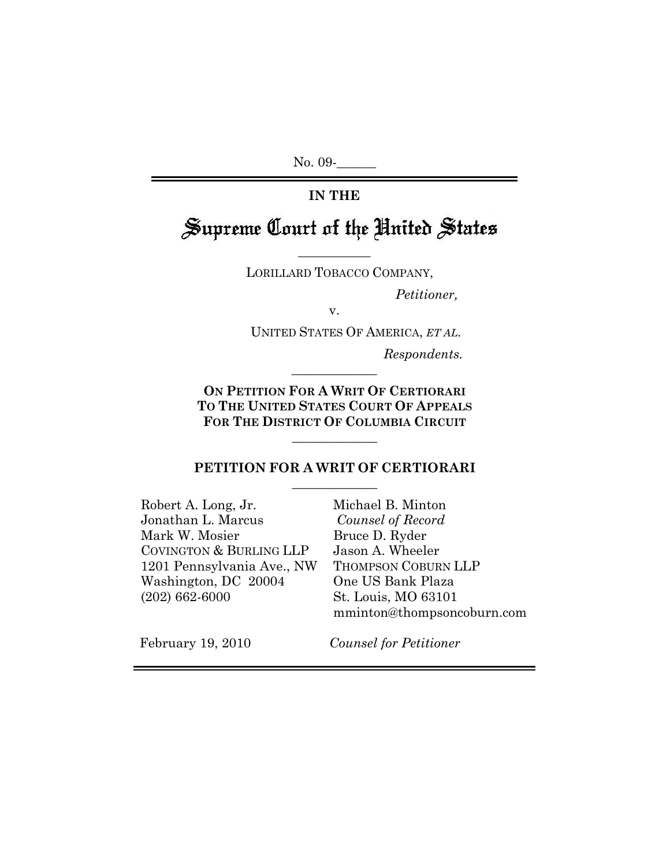No. 09-

# **IN THE**

# Supreme Court of the United States

LORILLARD TOBACCO COMPANY,

 $\overline{\phantom{a}}$  , where  $\overline{\phantom{a}}$ 

 *Petitioner,* 

v.

UNITED STATES OF AMERICA, *ET AL.* 

*Respondents.*

**ON PETITION FOR A WRIT OF CERTIORARI TO THE UNITED STATES COURT OF APPEALS FOR THE DISTRICT OF COLUMBIA CIRCUIT**

 $\overline{\phantom{a}}$  , where  $\overline{\phantom{a}}$ 

#### **PETITION FOR A WRIT OF CERTIORARI**  $\overline{\phantom{a}}$  , where  $\overline{\phantom{a}}$

 $\overline{\phantom{a}}$  , where  $\overline{\phantom{a}}$ 

Robert A. Long, Jr. Jonathan L. Marcus Mark W. Mosier COVINGTON & BURLING LLP 1201 Pennsylvania Ave., NW Washington, DC 20004 (202) 662-6000

Michael B. Minton *Counsel of Record*  Bruce D. Ryder Jason A. Wheeler THOMPSON COBURN LLP One US Bank Plaza St. Louis, MO 63101 mminton@thompsoncoburn.com

February 19, 2010

*Counsel for Petitioner*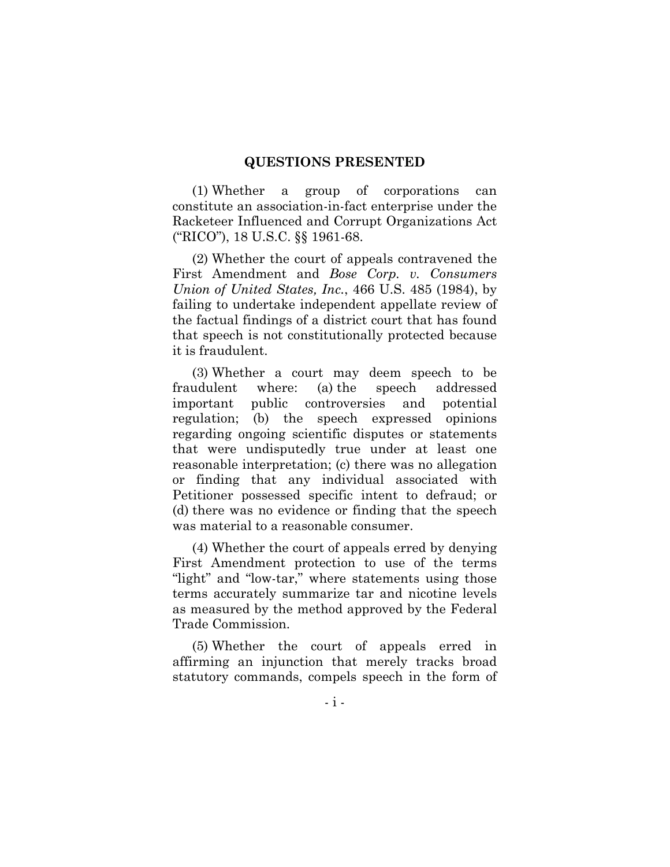#### **QUESTIONS PRESENTED**

(1) Whether a group of corporations can constitute an association-in-fact enterprise under the Racketeer Influenced and Corrupt Organizations Act ("RICO"), 18 U.S.C. §§ 1961-68.

(2) Whether the court of appeals contravened the First Amendment and *Bose Corp. v. Consumers Union of United States, Inc.*, 466 U.S. 485 (1984), by failing to undertake independent appellate review of the factual findings of a district court that has found that speech is not constitutionally protected because it is fraudulent.

(3) Whether a court may deem speech to be fraudulent where: (a) the speech addressed important public controversies and potential regulation; (b) the speech expressed opinions regarding ongoing scientific disputes or statements that were undisputedly true under at least one reasonable interpretation; (c) there was no allegation or finding that any individual associated with Petitioner possessed specific intent to defraud; or (d) there was no evidence or finding that the speech was material to a reasonable consumer.

(4) Whether the court of appeals erred by denying First Amendment protection to use of the terms "light" and "low-tar," where statements using those terms accurately summarize tar and nicotine levels as measured by the method approved by the Federal Trade Commission.

(5) Whether the court of appeals erred in affirming an injunction that merely tracks broad statutory commands, compels speech in the form of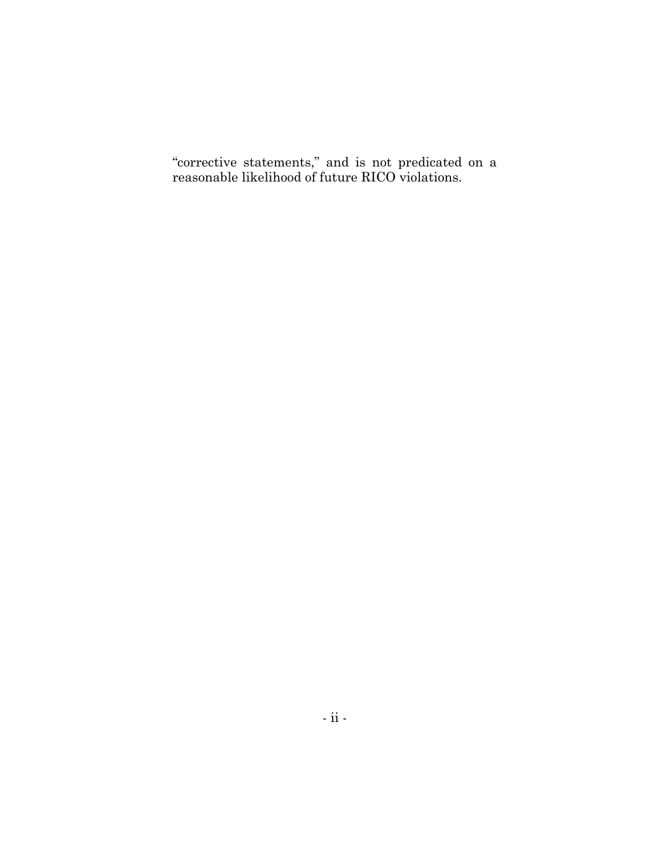"corrective statements," and is not predicated on a reasonable likelihood of future RICO violations.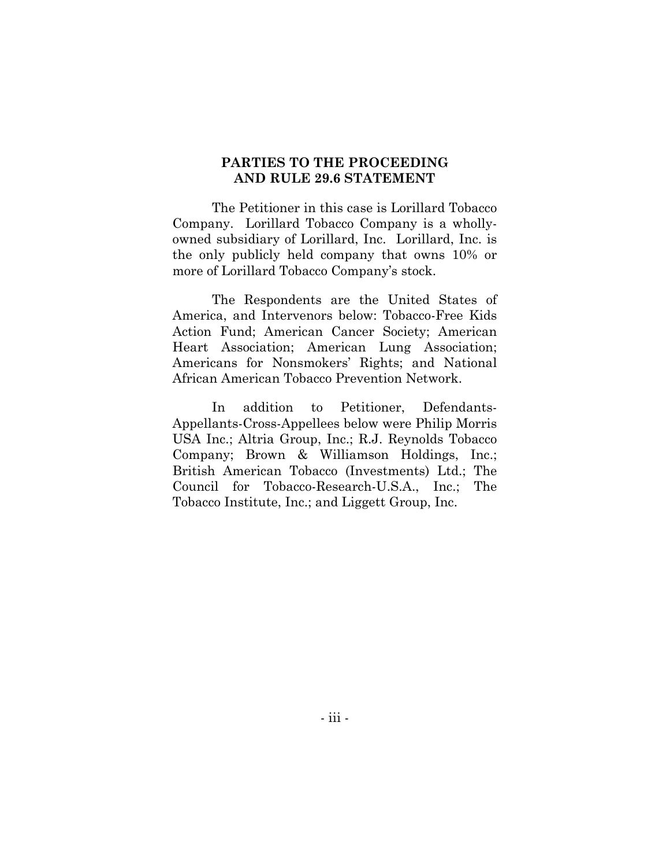#### **PARTIES TO THE PROCEEDING AND RULE 29.6 STATEMENT**

The Petitioner in this case is Lorillard Tobacco Company. Lorillard Tobacco Company is a whollyowned subsidiary of Lorillard, Inc. Lorillard, Inc. is the only publicly held company that owns 10% or more of Lorillard Tobacco Company's stock.

The Respondents are the United States of America, and Intervenors below: Tobacco-Free Kids Action Fund; American Cancer Society; American Heart Association; American Lung Association; Americans for Nonsmokers' Rights; and National African American Tobacco Prevention Network.

In addition to Petitioner, Defendants-Appellants-Cross-Appellees below were Philip Morris USA Inc.; Altria Group, Inc.; R.J. Reynolds Tobacco Company; Brown & Williamson Holdings, Inc.; British American Tobacco (Investments) Ltd.; The Council for Tobacco-Research-U.S.A., Inc.; The Tobacco Institute, Inc.; and Liggett Group, Inc.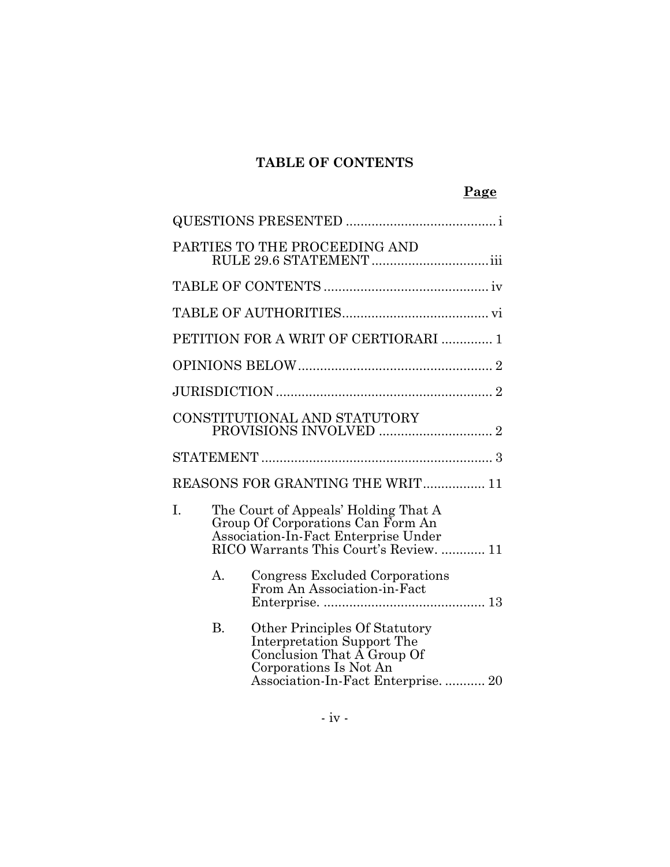# **TABLE OF CONTENTS**

|    |                |                                                                                                                                                             | Page |
|----|----------------|-------------------------------------------------------------------------------------------------------------------------------------------------------------|------|
|    |                |                                                                                                                                                             |      |
|    |                | PARTIES TO THE PROCEEDING AND                                                                                                                               |      |
|    |                |                                                                                                                                                             |      |
|    |                |                                                                                                                                                             |      |
|    |                | PETITION FOR A WRIT OF CERTIORARI  1                                                                                                                        |      |
|    |                |                                                                                                                                                             |      |
|    |                |                                                                                                                                                             |      |
|    |                | CONSTITUTIONAL AND STATUTORY                                                                                                                                |      |
|    |                |                                                                                                                                                             |      |
|    |                | REASONS FOR GRANTING THE WRIT 11                                                                                                                            |      |
| Ī. |                | The Court of Appeals' Holding That A<br>Group Of Corporations Can Form An<br>Association-In-Fact Enterprise Under<br>RICO Warrants This Court's Review.  11 |      |
|    | $\mathsf{A}$ . | Congress Excluded Corporations<br>From An Association-in-Fact                                                                                               |      |
|    | <b>B.</b>      | Other Principles Of Statutory<br>Interpretation Support The<br>Conclusion That A Group Of<br>Corporations Is Not An<br>Association-In-Fact Enterprise 20    |      |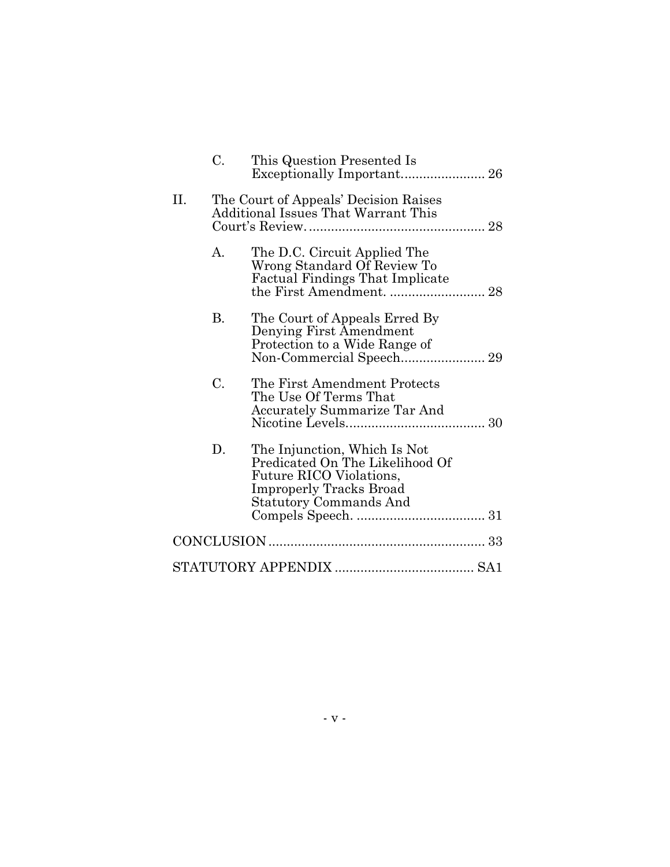|    | C. | This Question Presented Is                                                                                                                                    |
|----|----|---------------------------------------------------------------------------------------------------------------------------------------------------------------|
| П. |    | The Court of Appeals' Decision Raises<br>Additional Issues That Warrant This                                                                                  |
|    | A. | The D.C. Circuit Applied The<br>Wrong Standard Of Review To<br><b>Factual Findings That Implicate</b>                                                         |
|    | В. | The Court of Appeals Erred By<br>Denying First Amendment<br>Protection to a Wide Range of                                                                     |
|    | C. | The First Amendment Protects<br>The Use Of Terms That<br><b>Accurately Summarize Tar And</b>                                                                  |
|    | D. | The Injunction, Which Is Not<br>Predicated On The Likelihood Of<br>Future RICO Violations,<br><b>Improperly Tracks Broad</b><br><b>Statutory Commands And</b> |
|    |    |                                                                                                                                                               |
|    |    |                                                                                                                                                               |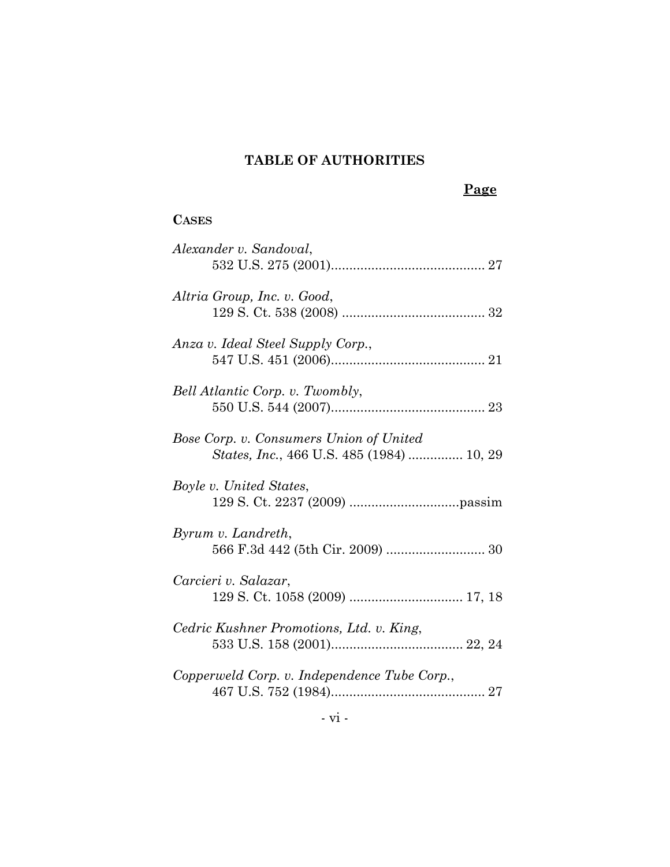# **TABLE OF AUTHORITIES**

# **Page**

# **CASES**

| Alexander v. Sandoval,                                                                      |
|---------------------------------------------------------------------------------------------|
| Altria Group, Inc. v. Good,                                                                 |
| Anza v. Ideal Steel Supply Corp.,                                                           |
| Bell Atlantic Corp. v. Twombly,                                                             |
| Bose Corp. v. Consumers Union of United<br><i>States, Inc., 466 U.S. 485 (1984)  10, 29</i> |
| Boyle v. United States,                                                                     |
| Byrum v. Landreth,                                                                          |
| Carcieri v. Salazar,                                                                        |
| Cedric Kushner Promotions, Ltd. v. King,                                                    |
| Copperweld Corp. v. Independence Tube Corp.,                                                |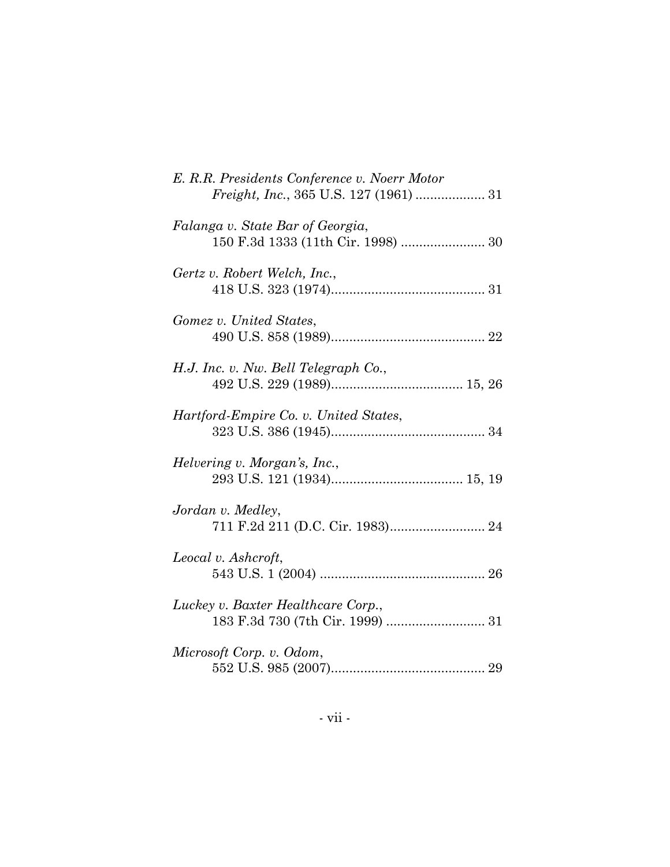| E. R.R. Presidents Conference v. Noerr Motor<br><i>Freight, Inc., 365 U.S. 127 (1961) </i> 31 |
|-----------------------------------------------------------------------------------------------|
| Falanga v. State Bar of Georgia,<br>150 F.3d 1333 (11th Cir. 1998)  30                        |
| Gertz v. Robert Welch, Inc.,                                                                  |
| Gomez v. United States,                                                                       |
| H.J. Inc. v. Nw. Bell Telegraph Co.,                                                          |
| Hartford-Empire Co. v. United States,                                                         |
| Helvering v. Morgan's, Inc.,                                                                  |
| Jordan v. Medley,                                                                             |
| Leocal v. Ashcroft,                                                                           |
| Luckey v. Baxter Healthcare Corp.,                                                            |
| Microsoft Corp. v. Odom,                                                                      |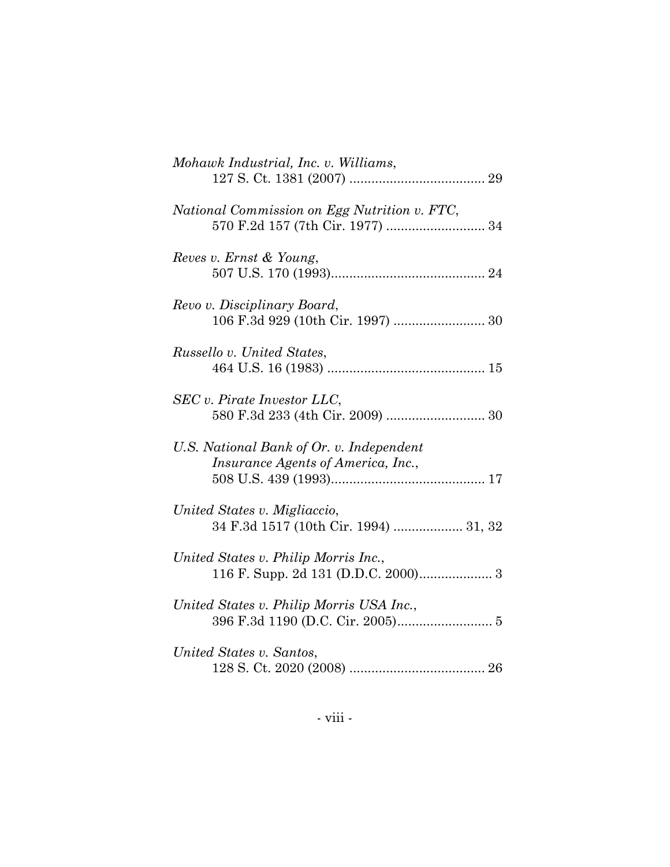| Mohawk Industrial, Inc. v. Williams,                                           |
|--------------------------------------------------------------------------------|
| National Commission on Egg Nutrition v. FTC,                                   |
| Reves v. Ernst & Young,                                                        |
| Revo v. Disciplinary Board,                                                    |
| Russello v. United States,                                                     |
| SEC v. Pirate Investor LLC,                                                    |
| U.S. National Bank of Or. v. Independent<br>Insurance Agents of America, Inc., |
| United States v. Migliaccio,<br>34 F.3d 1517 (10th Cir. 1994)  31, 32          |
| United States v. Philip Morris Inc.,                                           |
| United States v. Philip Morris USA Inc.,                                       |
| United States v. Santos,                                                       |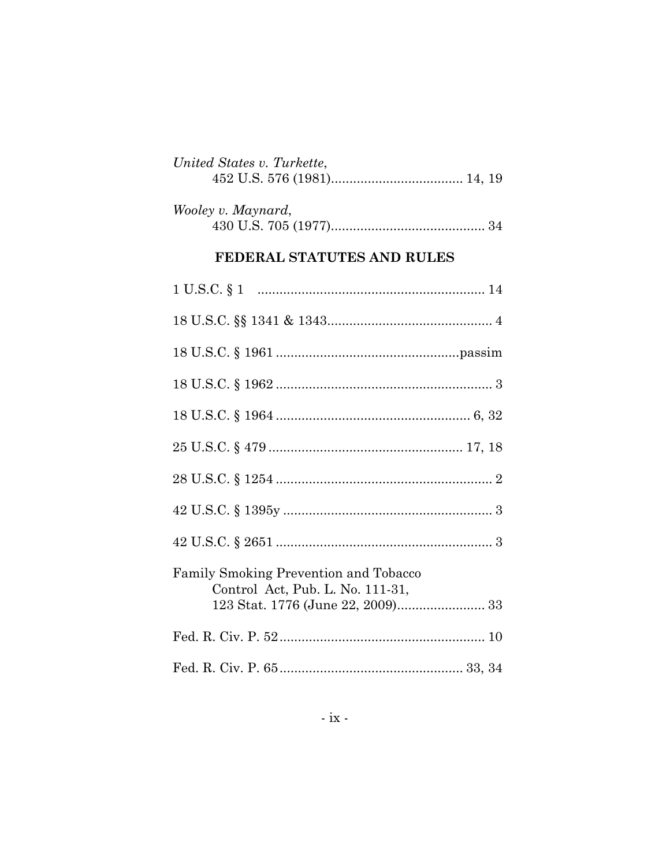| United States v. Turkette, |  |
|----------------------------|--|
|                            |  |
|                            |  |

| Wooley v. Maynard, |  |
|--------------------|--|
|                    |  |

# FEDERAL STATUTES AND RULES

| <b>Family Smoking Prevention and Tobacco</b><br>Control Act, Pub. L. No. 111-31, |
|----------------------------------------------------------------------------------|
|                                                                                  |
|                                                                                  |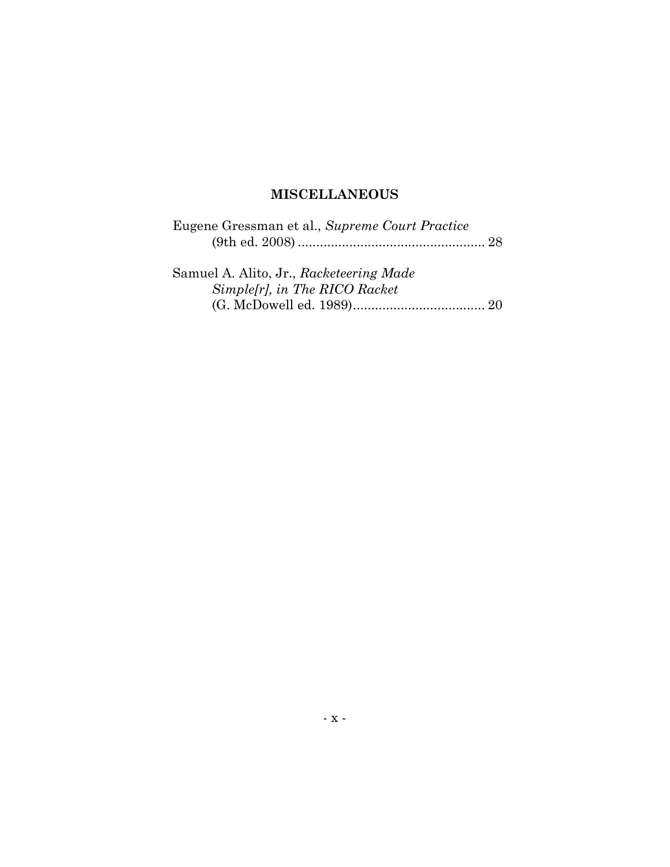# **MISCELLANEOUS**

| Eugene Gressman et al., Supreme Court Practice |
|------------------------------------------------|
|                                                |
|                                                |
| Samuel A. Alito, Jr., Racketeering Made        |
| Simple[r], in The RICO Racket                  |
|                                                |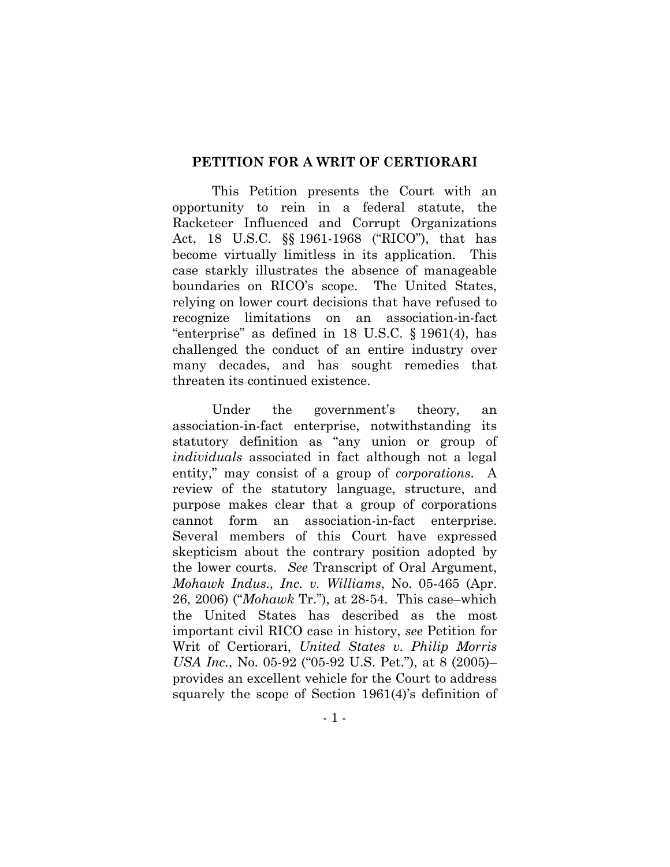#### **PETITION FOR A WRIT OF CERTIORARI**

This Petition presents the Court with an opportunity to rein in a federal statute, the Racketeer Influenced and Corrupt Organizations Act, 18 U.S.C. §§ 1961-1968 ("RICO"), that has become virtually limitless in its application. This case starkly illustrates the absence of manageable boundaries on RICO's scope. The United States, relying on lower court decisions that have refused to recognize limitations on an association-in-fact "enterprise" as defined in 18 U.S.C. § 1961(4), has challenged the conduct of an entire industry over many decades, and has sought remedies that threaten its continued existence.

Under the government's theory, an association-in-fact enterprise, notwithstanding its statutory definition as "any union or group of *individuals* associated in fact although not a legal entity," may consist of a group of *corporations*. A review of the statutory language, structure, and purpose makes clear that a group of corporations cannot form an association-in-fact enterprise. Several members of this Court have expressed skepticism about the contrary position adopted by the lower courts. *See* Transcript of Oral Argument, *Mohawk Indus., Inc. v. Williams*, No. 05-465 (Apr. 26, 2006) ("*Mohawk* Tr."), at 28-54. This case–which the United States has described as the most important civil RICO case in history, *see* Petition for Writ of Certiorari, *United States v. Philip Morris USA Inc.*, No. 05-92 ("05-92 U.S. Pet."), at 8 (2005)– provides an excellent vehicle for the Court to address squarely the scope of Section 1961(4)'s definition of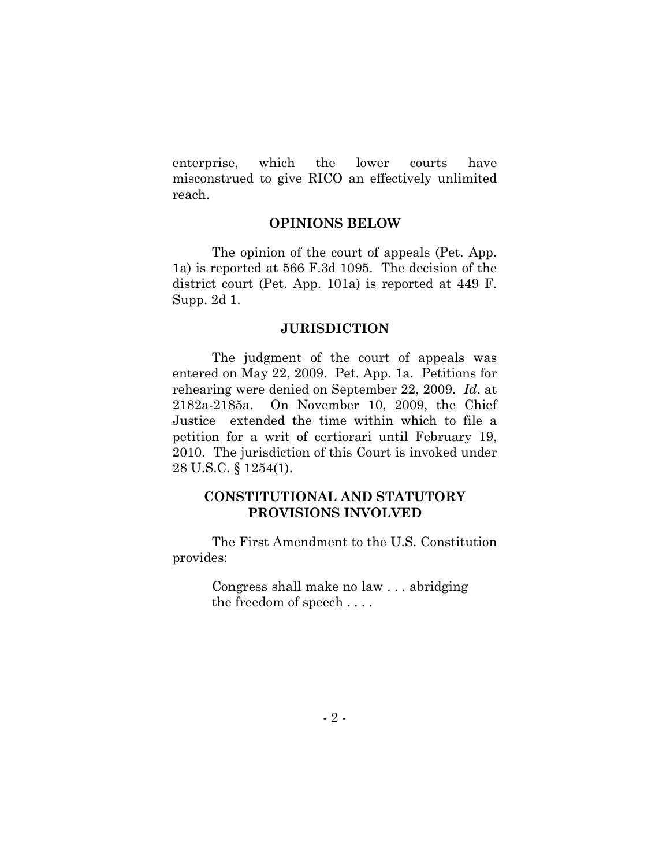enterprise, which the lower courts have misconstrued to give RICO an effectively unlimited reach.

#### **OPINIONS BELOW**

The opinion of the court of appeals (Pet. App. 1a) is reported at 566 F.3d 1095. The decision of the district court (Pet. App. 101a) is reported at 449 F. Supp. 2d 1.

#### **JURISDICTION**

The judgment of the court of appeals was entered on May 22, 2009. Pet. App. 1a. Petitions for rehearing were denied on September 22, 2009. *Id*. at 2182a-2185a. On November 10, 2009, the Chief Justice extended the time within which to file a petition for a writ of certiorari until February 19, 2010. The jurisdiction of this Court is invoked under 28 U.S.C. § 1254(1).

#### **CONSTITUTIONAL AND STATUTORY PROVISIONS INVOLVED**

The First Amendment to the U.S. Constitution provides:

> Congress shall make no law . . . abridging the freedom of speech . . . .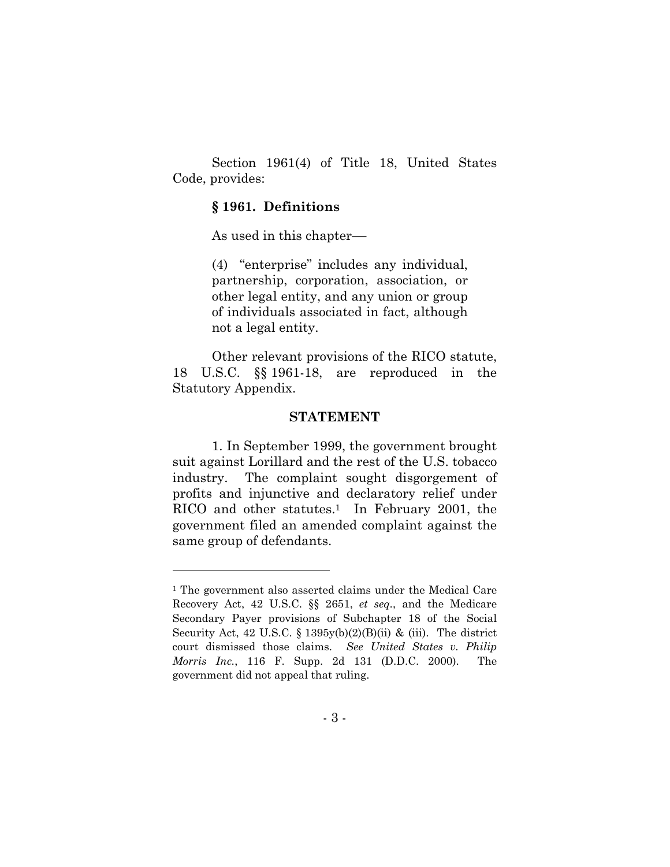Section 1961(4) of Title 18, United States Code, provides:

#### **§ 1961. Definitions**

As used in this chapter––

(4) "enterprise" includes any individual, partnership, corporation, association, or other legal entity, and any union or group of individuals associated in fact, although not a legal entity.

Other relevant provisions of the RICO statute, 18 U.S.C. §§ 1961-18, are reproduced in the Statutory Appendix.

#### **STATEMENT**

1. In September 1999, the government brought suit against Lorillard and the rest of the U.S. tobacco industry. The complaint sought disgorgement of profits and injunctive and declaratory relief under RICO and other statutes.<sup>1</sup> In February 2001, the government filed an amended complaint against the same group of defendants.

<sup>1</sup> The government also asserted claims under the Medical Care Recovery Act, 42 U.S.C. §§ 2651, *et seq.*, and the Medicare Secondary Payer provisions of Subchapter 18 of the Social Security Act, 42 U.S.C.  $\S 1395y(b)(2)(B)(ii)$  & (iii). The district court dismissed those claims. *See United States v. Philip Morris Inc.*, 116 F. Supp. 2d 131 (D.D.C. 2000). The government did not appeal that ruling.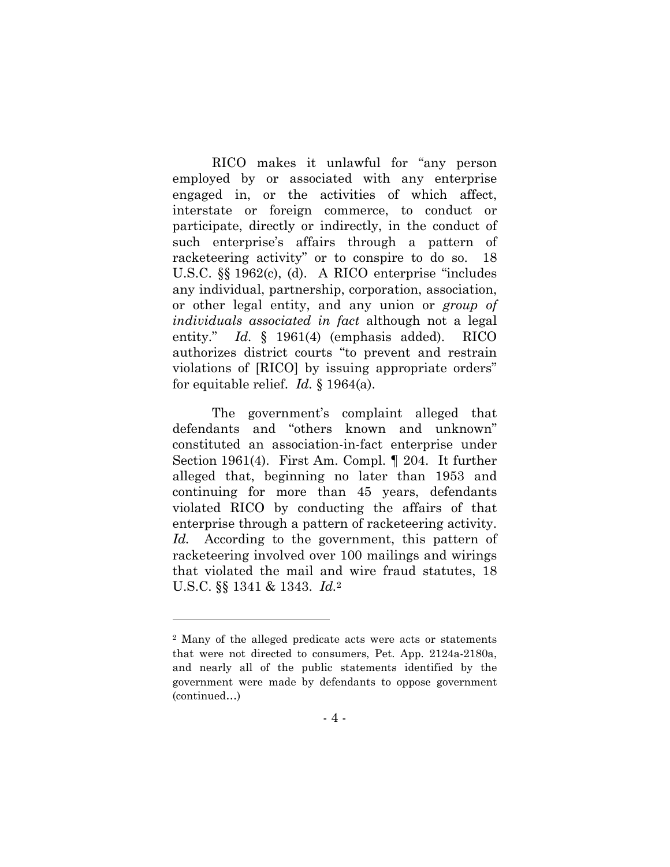RICO makes it unlawful for "any person employed by or associated with any enterprise engaged in, or the activities of which affect, interstate or foreign commerce, to conduct or participate, directly or indirectly, in the conduct of such enterprise's affairs through a pattern of racketeering activity" or to conspire to do so. 18 U.S.C. §§ 1962(c), (d). A RICO enterprise "includes any individual, partnership, corporation, association, or other legal entity, and any union or *group of individuals associated in fact* although not a legal entity." *Id.* § 1961(4) (emphasis added). RICO authorizes district courts "to prevent and restrain violations of [RICO] by issuing appropriate orders" for equitable relief. *Id.* § 1964(a).

The government's complaint alleged that defendants and "others known and unknown" constituted an association-in-fact enterprise under Section 1961(4). First Am. Compl. ¶ 204. It further alleged that, beginning no later than 1953 and continuing for more than 45 years, defendants violated RICO by conducting the affairs of that enterprise through a pattern of racketeering activity. *Id.* According to the government, this pattern of racketeering involved over 100 mailings and wirings that violated the mail and wire fraud statutes, 18 U.S.C. §§ 1341 & 1343. *Id.*2

<sup>2</sup> Many of the alleged predicate acts were acts or statements that were not directed to consumers, Pet. App. 2124a-2180a, and nearly all of the public statements identified by the government were made by defendants to oppose government (continued…)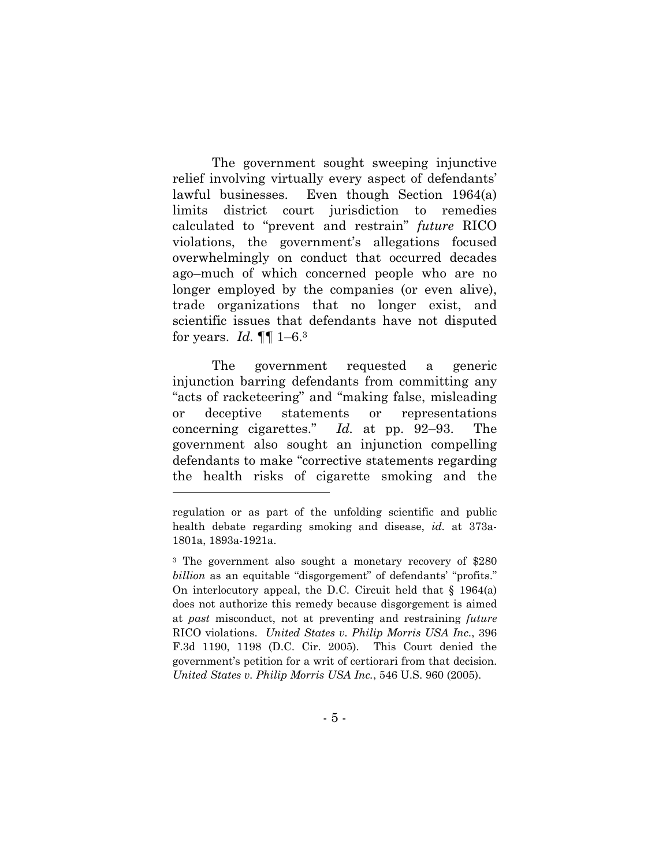The government sought sweeping injunctive relief involving virtually every aspect of defendants' lawful businesses. Even though Section 1964(a) limits district court jurisdiction to remedies calculated to "prevent and restrain" *future* RICO violations, the government's allegations focused overwhelmingly on conduct that occurred decades ago–much of which concerned people who are no longer employed by the companies (or even alive), trade organizations that no longer exist, and scientific issues that defendants have not disputed for years. *Id.* ¶¶ 1–6.3

The government requested a generic injunction barring defendants from committing any "acts of racketeering" and "making false, misleading or deceptive statements or representations concerning cigarettes." *Id.* at pp. 92–93. The government also sought an injunction compelling defendants to make "corrective statements regarding the health risks of cigarette smoking and the

regulation or as part of the unfolding scientific and public health debate regarding smoking and disease, *id.* at 373a-1801a, 1893a-1921a.

<sup>3</sup> The government also sought a monetary recovery of \$280 *billion* as an equitable "disgorgement" of defendants' "profits." On interlocutory appeal, the D.C. Circuit held that § 1964(a) does not authorize this remedy because disgorgement is aimed at *past* misconduct, not at preventing and restraining *future* RICO violations. *United States v. Philip Morris USA Inc.*, 396 F.3d 1190, 1198 (D.C. Cir. 2005). This Court denied the government's petition for a writ of certiorari from that decision. *United States v. Philip Morris USA Inc.*, 546 U.S. 960 (2005).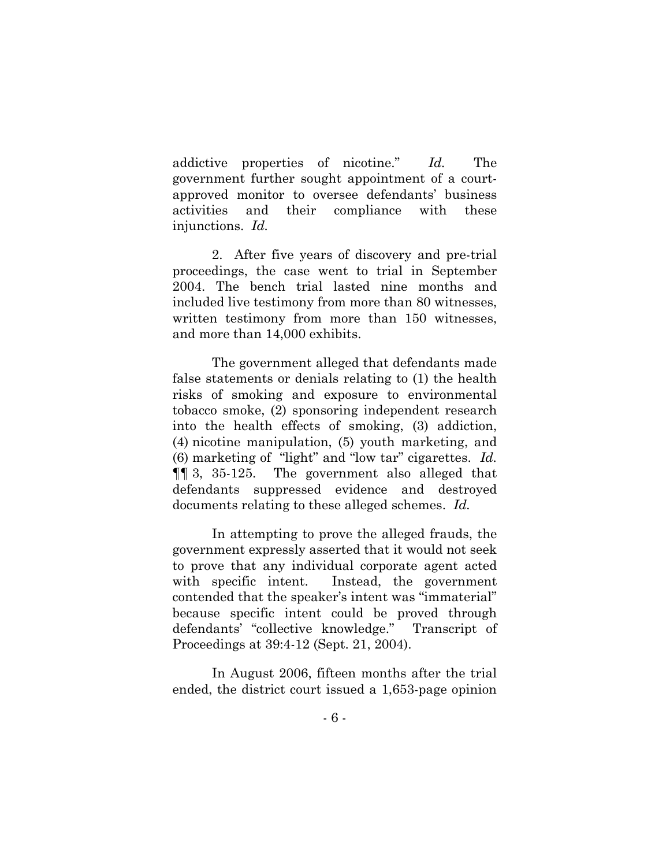addictive properties of nicotine." *Id.* The government further sought appointment of a courtapproved monitor to oversee defendants' business activities and their compliance with these injunctions. *Id.* 

2. After five years of discovery and pre-trial proceedings, the case went to trial in September 2004. The bench trial lasted nine months and included live testimony from more than 80 witnesses, written testimony from more than 150 witnesses, and more than 14,000 exhibits.

The government alleged that defendants made false statements or denials relating to (1) the health risks of smoking and exposure to environmental tobacco smoke, (2) sponsoring independent research into the health effects of smoking, (3) addiction, (4) nicotine manipulation, (5) youth marketing, and (6) marketing of "light" and "low tar" cigarettes. *Id.* ¶¶ 3, 35-125. The government also alleged that defendants suppressed evidence and destroyed documents relating to these alleged schemes. *Id.* 

In attempting to prove the alleged frauds, the government expressly asserted that it would not seek to prove that any individual corporate agent acted with specific intent. Instead, the government contended that the speaker's intent was "immaterial" because specific intent could be proved through defendants' "collective knowledge." Transcript of Proceedings at 39:4-12 (Sept. 21, 2004).

In August 2006, fifteen months after the trial ended, the district court issued a 1,653-page opinion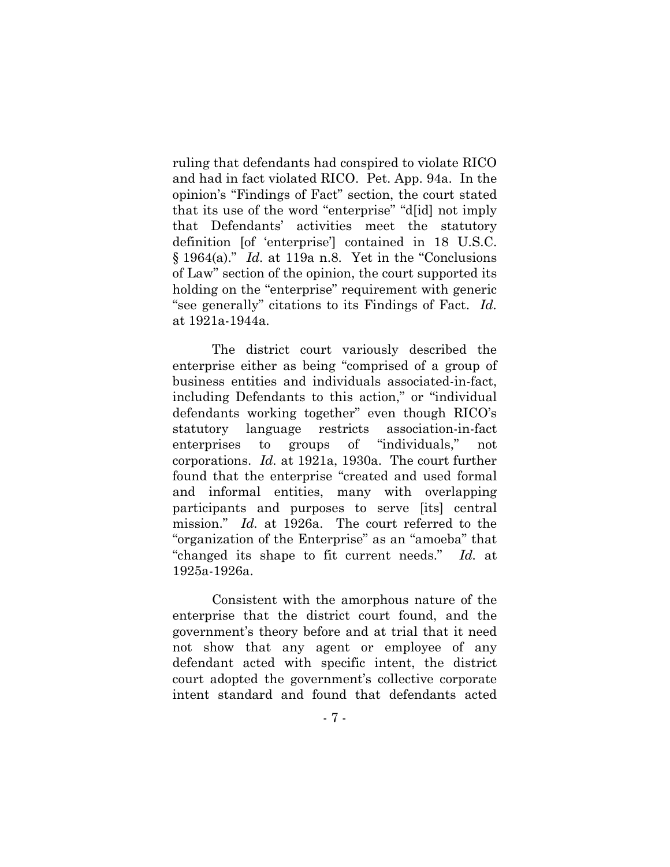ruling that defendants had conspired to violate RICO and had in fact violated RICO. Pet. App. 94a. In the opinion's "Findings of Fact" section, the court stated that its use of the word "enterprise" "d[id] not imply that Defendants' activities meet the statutory definition [of 'enterprise'] contained in 18 U.S.C. § 1964(a)." *Id.* at 119a n.8. Yet in the "Conclusions of Law" section of the opinion, the court supported its holding on the "enterprise" requirement with generic "see generally" citations to its Findings of Fact. *Id.* at 1921a-1944a.

The district court variously described the enterprise either as being "comprised of a group of business entities and individuals associated-in-fact, including Defendants to this action," or "individual defendants working together" even though RICO's statutory language restricts association-in-fact enterprises to groups of "individuals," not corporations. *Id.* at 1921a, 1930a. The court further found that the enterprise "created and used formal and informal entities, many with overlapping participants and purposes to serve [its] central mission." *Id.* at 1926a. The court referred to the "organization of the Enterprise" as an "amoeba" that "changed its shape to fit current needs." *Id.* at 1925a-1926a.

Consistent with the amorphous nature of the enterprise that the district court found, and the government's theory before and at trial that it need not show that any agent or employee of any defendant acted with specific intent, the district court adopted the government's collective corporate intent standard and found that defendants acted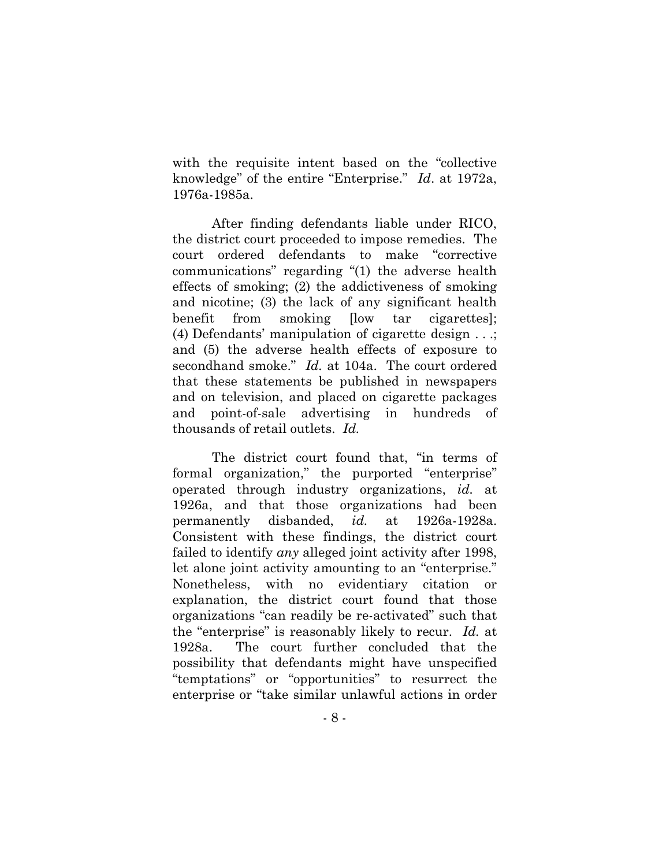with the requisite intent based on the "collective knowledge" of the entire "Enterprise." *Id*. at 1972a, 1976a-1985a.

After finding defendants liable under RICO, the district court proceeded to impose remedies. The court ordered defendants to make "corrective communications" regarding "(1) the adverse health effects of smoking; (2) the addictiveness of smoking and nicotine; (3) the lack of any significant health benefit from smoking [low tar cigarettes]; (4) Defendants' manipulation of cigarette design . . .; and (5) the adverse health effects of exposure to secondhand smoke." *Id.* at 104a. The court ordered that these statements be published in newspapers and on television, and placed on cigarette packages and point-of-sale advertising in hundreds of thousands of retail outlets. *Id.*

The district court found that, "in terms of formal organization," the purported "enterprise" operated through industry organizations, *id.* at 1926a, and that those organizations had been permanently disbanded, *id.* at 1926a-1928a. Consistent with these findings, the district court failed to identify *any* alleged joint activity after 1998, let alone joint activity amounting to an "enterprise." Nonetheless, with no evidentiary citation or explanation, the district court found that those organizations "can readily be re-activated" such that the "enterprise" is reasonably likely to recur. *Id.* at 1928a. The court further concluded that the possibility that defendants might have unspecified "temptations" or "opportunities" to resurrect the enterprise or "take similar unlawful actions in order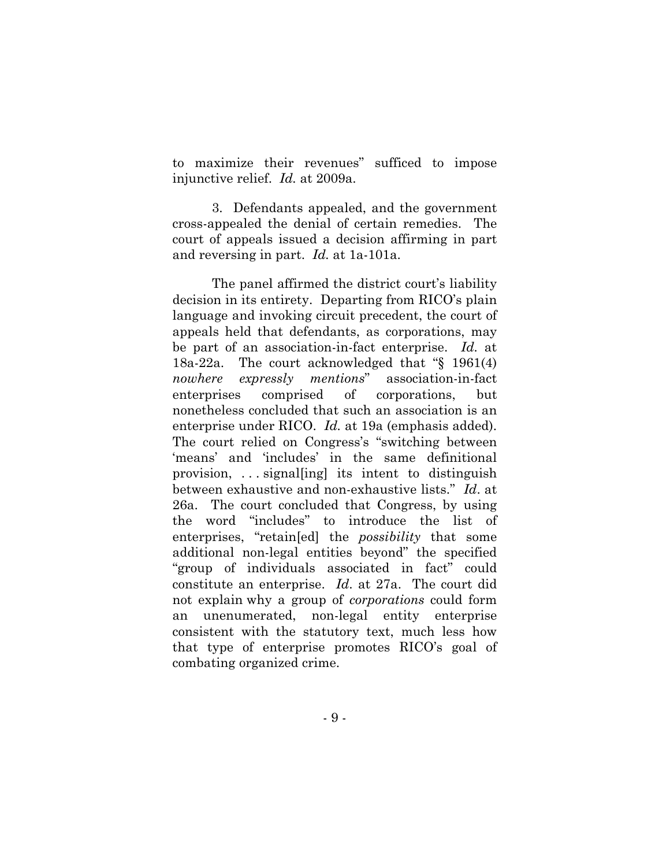to maximize their revenues" sufficed to impose injunctive relief. *Id.* at 2009a.

3. Defendants appealed, and the government cross-appealed the denial of certain remedies. The court of appeals issued a decision affirming in part and reversing in part. *Id.* at 1a-101a.

The panel affirmed the district court's liability decision in its entirety. Departing from RICO's plain language and invoking circuit precedent, the court of appeals held that defendants, as corporations, may be part of an association-in-fact enterprise. *Id.* at 18a-22a. The court acknowledged that "§ 1961(4) *nowhere expressly mentions*" association-in-fact enterprises comprised of corporations, but nonetheless concluded that such an association is an enterprise under RICO. *Id.* at 19a (emphasis added). The court relied on Congress's "switching between 'means' and 'includes' in the same definitional provision, . . . signal[ing] its intent to distinguish between exhaustive and non-exhaustive lists." *Id*. at 26a. The court concluded that Congress, by using the word "includes" to introduce the list of enterprises, "retain[ed] the *possibility* that some additional non-legal entities beyond" the specified "group of individuals associated in fact" could constitute an enterprise. *Id*. at 27a. The court did not explain why a group of *corporations* could form an unenumerated, non-legal entity enterprise consistent with the statutory text, much less how that type of enterprise promotes RICO's goal of combating organized crime.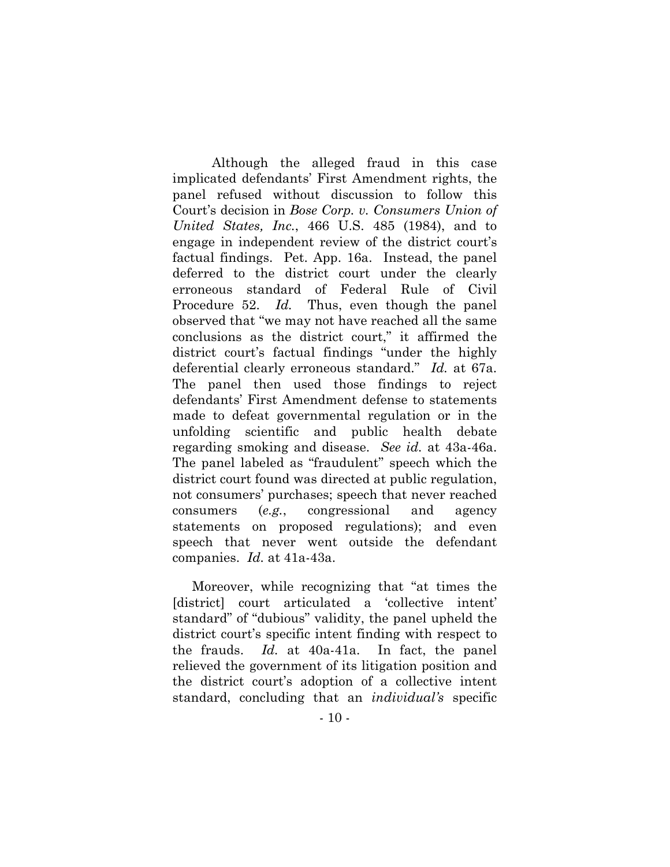Although the alleged fraud in this case implicated defendants' First Amendment rights, the panel refused without discussion to follow this Court's decision in *Bose Corp. v. Consumers Union of United States, Inc.*, 466 U.S. 485 (1984), and to engage in independent review of the district court's factual findings. Pet. App. 16a. Instead, the panel deferred to the district court under the clearly erroneous standard of Federal Rule of Civil Procedure 52. *Id.* Thus, even though the panel observed that "we may not have reached all the same conclusions as the district court," it affirmed the district court's factual findings "under the highly deferential clearly erroneous standard." *Id.* at 67a. The panel then used those findings to reject defendants' First Amendment defense to statements made to defeat governmental regulation or in the unfolding scientific and public health debate regarding smoking and disease. *See id.* at 43a-46a. The panel labeled as "fraudulent" speech which the district court found was directed at public regulation, not consumers' purchases; speech that never reached consumers (*e.g.*, congressional and agency statements on proposed regulations); and even speech that never went outside the defendant companies. *Id.* at 41a-43a.

Moreover, while recognizing that "at times the [district] court articulated a 'collective intent' standard" of "dubious" validity, the panel upheld the district court's specific intent finding with respect to the frauds. *Id.* at 40a-41a. In fact, the panel relieved the government of its litigation position and the district court's adoption of a collective intent standard, concluding that an *individual's* specific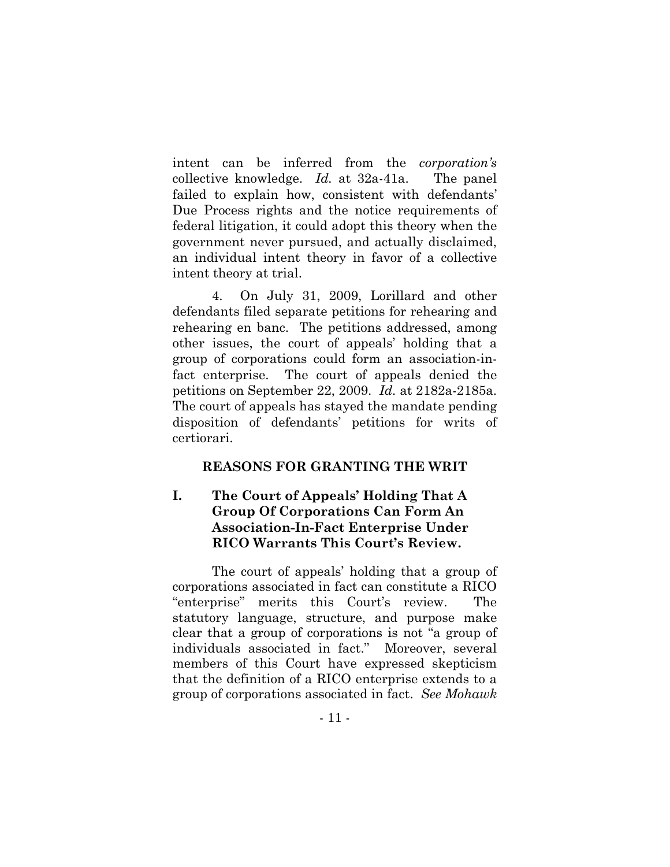intent can be inferred from the *corporation's* collective knowledge. *Id.* at 32a-41a. The panel failed to explain how, consistent with defendants' Due Process rights and the notice requirements of federal litigation, it could adopt this theory when the government never pursued, and actually disclaimed, an individual intent theory in favor of a collective intent theory at trial.

4. On July 31, 2009, Lorillard and other defendants filed separate petitions for rehearing and rehearing en banc. The petitions addressed, among other issues, the court of appeals' holding that a group of corporations could form an association-infact enterprise. The court of appeals denied the petitions on September 22, 2009. *Id.* at 2182a-2185a. The court of appeals has stayed the mandate pending disposition of defendants' petitions for writs of certiorari.

#### **REASONS FOR GRANTING THE WRIT**

# **I. The Court of Appeals' Holding That A Group Of Corporations Can Form An Association-In-Fact Enterprise Under RICO Warrants This Court's Review.**

The court of appeals' holding that a group of corporations associated in fact can constitute a RICO "enterprise" merits this Court's review. The statutory language, structure, and purpose make clear that a group of corporations is not "a group of individuals associated in fact." Moreover, several members of this Court have expressed skepticism that the definition of a RICO enterprise extends to a group of corporations associated in fact. *See Mohawk*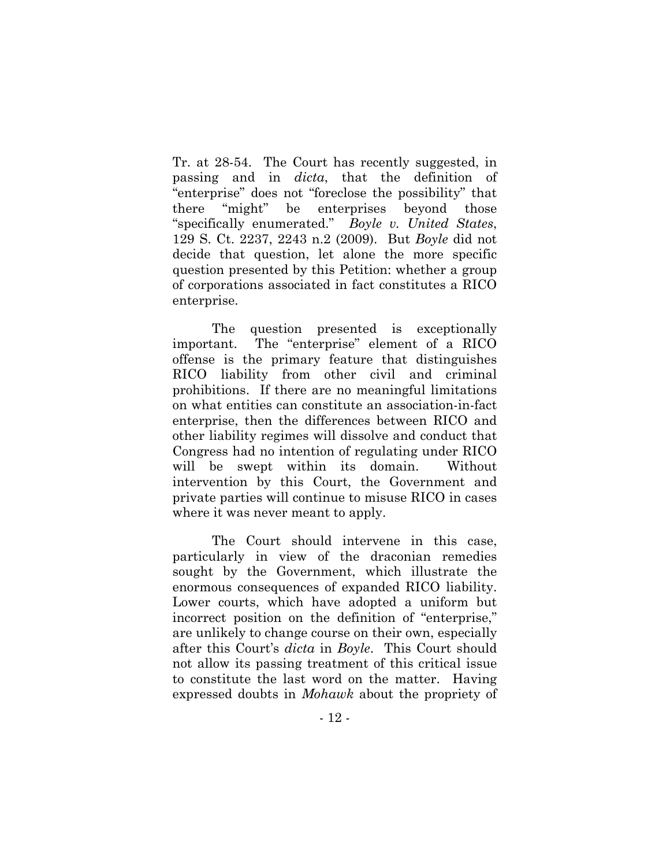Tr. at 28-54. The Court has recently suggested, in passing and in *dicta*, that the definition of "enterprise" does not "foreclose the possibility" that there "might" be enterprises beyond those "specifically enumerated." *Boyle v. United States*, 129 S. Ct. 2237, 2243 n.2 (2009). But *Boyle* did not decide that question, let alone the more specific question presented by this Petition: whether a group of corporations associated in fact constitutes a RICO enterprise.

The question presented is exceptionally important. The "enterprise" element of a RICO offense is the primary feature that distinguishes RICO liability from other civil and criminal prohibitions. If there are no meaningful limitations on what entities can constitute an association-in-fact enterprise, then the differences between RICO and other liability regimes will dissolve and conduct that Congress had no intention of regulating under RICO will be swept within its domain. Without intervention by this Court, the Government and private parties will continue to misuse RICO in cases where it was never meant to apply.

The Court should intervene in this case, particularly in view of the draconian remedies sought by the Government, which illustrate the enormous consequences of expanded RICO liability. Lower courts, which have adopted a uniform but incorrect position on the definition of "enterprise," are unlikely to change course on their own, especially after this Court's *dicta* in *Boyle*. This Court should not allow its passing treatment of this critical issue to constitute the last word on the matter. Having expressed doubts in *Mohawk* about the propriety of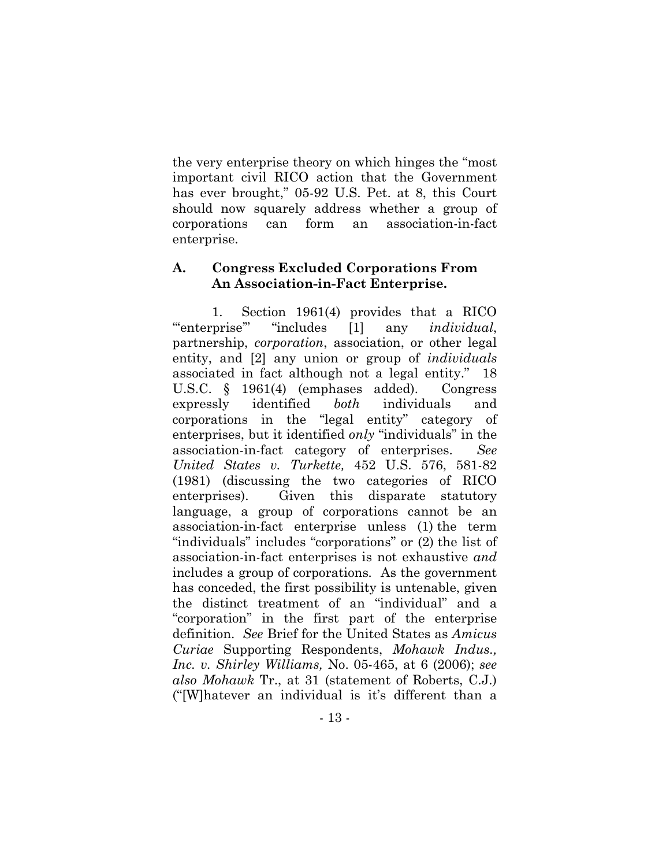the very enterprise theory on which hinges the "most important civil RICO action that the Government has ever brought," 05-92 U.S. Pet. at 8, this Court should now squarely address whether a group of corporations can form an association-in-fact enterprise.

## **A. Congress Excluded Corporations From An Association-in-Fact Enterprise.**

1. Section 1961(4) provides that a RICO "'enterprise'" "includes [1] any *individual*, partnership, *corporation*, association, or other legal entity, and [2] any union or group of *individuals* associated in fact although not a legal entity." 18 U.S.C. § 1961(4) (emphases added). Congress expressly identified *both* individuals and corporations in the "legal entity" category of enterprises, but it identified *only* "individuals" in the association-in-fact category of enterprises. *See United States v. Turkette,* 452 U.S. 576, 581-82 (1981) (discussing the two categories of RICO enterprises). Given this disparate statutory language, a group of corporations cannot be an association-in-fact enterprise unless (1) the term "individuals" includes "corporations" or (2) the list of association-in-fact enterprises is not exhaustive *and* includes a group of corporations*.* As the government has conceded, the first possibility is untenable, given the distinct treatment of an "individual" and a "corporation" in the first part of the enterprise definition. *See* Brief for the United States as *Amicus Curiae* Supporting Respondents, *Mohawk Indus., Inc. v. Shirley Williams,* No. 05-465, at 6 (2006); *see also Mohawk* Tr., at 31 (statement of Roberts, C.J.) ("[W]hatever an individual is it's different than a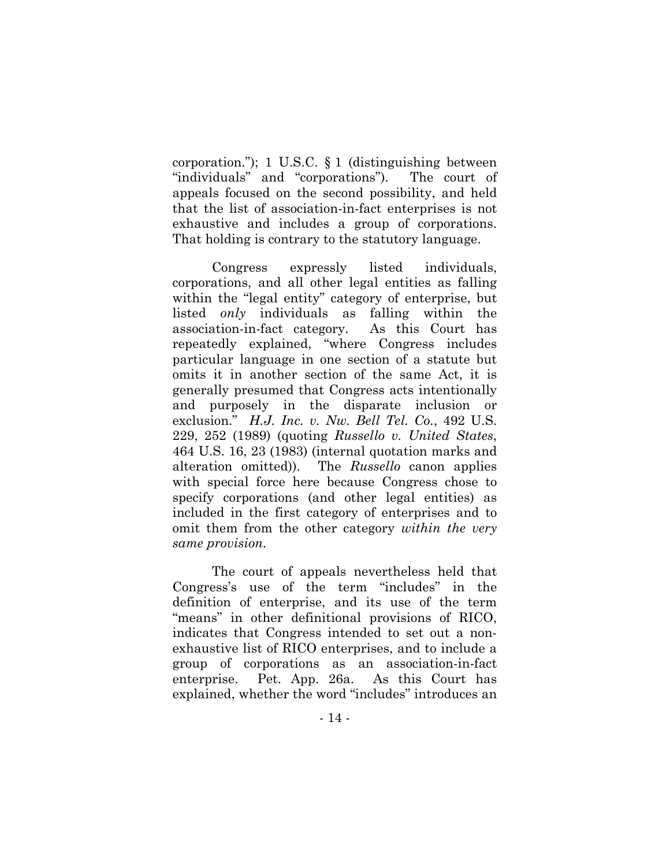corporation."); 1 U.S.C. § 1 (distinguishing between "individuals" and "corporations"). The court of appeals focused on the second possibility, and held that the list of association-in-fact enterprises is not exhaustive and includes a group of corporations. That holding is contrary to the statutory language.

Congress expressly listed individuals, corporations, and all other legal entities as falling within the "legal entity" category of enterprise, but listed *only* individuals as falling within the association-in-fact category. As this Court has repeatedly explained, "where Congress includes particular language in one section of a statute but omits it in another section of the same Act, it is generally presumed that Congress acts intentionally and purposely in the disparate inclusion or exclusion." *H.J. Inc. v. Nw. Bell Tel. Co.*, 492 U.S. 229, 252 (1989) (quoting *Russello v. United States*, 464 U.S. 16, 23 (1983) (internal quotation marks and alteration omitted)). The *Russello* canon applies with special force here because Congress chose to specify corporations (and other legal entities) as included in the first category of enterprises and to omit them from the other category *within the very same provision.*

The court of appeals nevertheless held that Congress's use of the term "includes" in the definition of enterprise, and its use of the term "means" in other definitional provisions of RICO, indicates that Congress intended to set out a nonexhaustive list of RICO enterprises, and to include a group of corporations as an association-in-fact enterprise. Pet. App. 26a. As this Court has explained, whether the word "includes" introduces an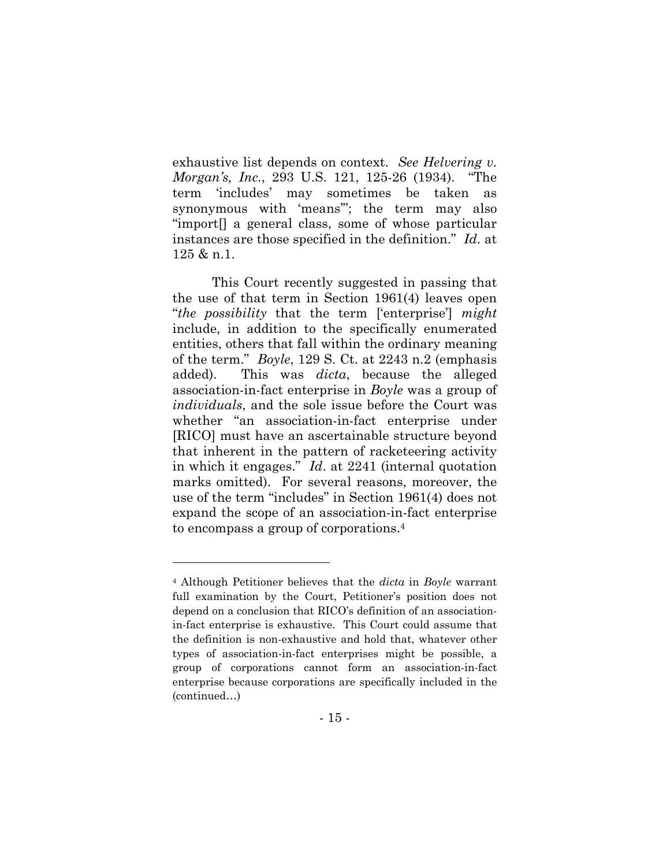exhaustive list depends on context. *See Helvering v. Morgan's, Inc.*, 293 U.S. 121, 125-26 (1934). "The term 'includes' may sometimes be taken as synonymous with 'means'"; the term may also "import[] a general class, some of whose particular instances are those specified in the definition." *Id*. at 125 & n.1.

This Court recently suggested in passing that the use of that term in Section 1961(4) leaves open "*the possibility* that the term ['enterprise'] *might* include, in addition to the specifically enumerated entities, others that fall within the ordinary meaning of the term." *Boyle*, 129 S. Ct. at 2243 n.2 (emphasis added). This was *dicta*, because the alleged association-in-fact enterprise in *Boyle* was a group of *individuals*, and the sole issue before the Court was whether "an association-in-fact enterprise under [RICO] must have an ascertainable structure beyond that inherent in the pattern of racketeering activity in which it engages." *Id*. at 2241 (internal quotation marks omitted). For several reasons, moreover, the use of the term "includes" in Section 1961(4) does not expand the scope of an association-in-fact enterprise to encompass a group of corporations.4

<sup>4</sup> Although Petitioner believes that the *dicta* in *Boyle* warrant full examination by the Court, Petitioner's position does not depend on a conclusion that RICO's definition of an associationin-fact enterprise is exhaustive. This Court could assume that the definition is non-exhaustive and hold that, whatever other types of association-in-fact enterprises might be possible, a group of corporations cannot form an association-in-fact enterprise because corporations are specifically included in the (continued…)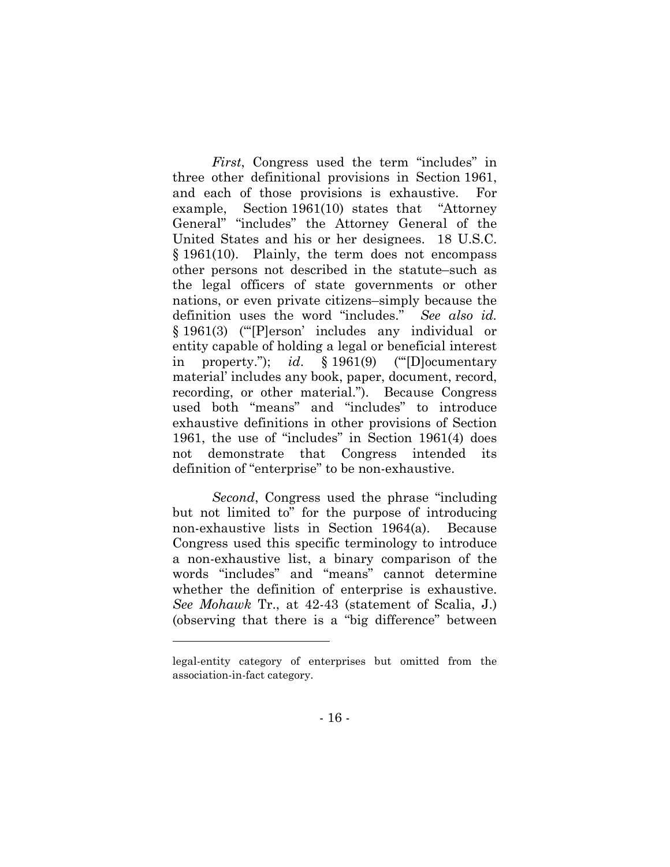*First*, Congress used the term "includes" in three other definitional provisions in Section 1961, and each of those provisions is exhaustive. For example, Section 1961(10) states that "Attorney General" "includes" the Attorney General of the United States and his or her designees. 18 U.S.C. § 1961(10). Plainly, the term does not encompass other persons not described in the statute–such as the legal officers of state governments or other nations, or even private citizens–simply because the definition uses the word "includes." *See also id.*  § 1961(3) ("'[P]erson' includes any individual or entity capable of holding a legal or beneficial interest in property."); *id*. § 1961(9) ("'[D]ocumentary material' includes any book, paper, document, record, recording, or other material."). Because Congress used both "means" and "includes" to introduce exhaustive definitions in other provisions of Section 1961, the use of "includes" in Section 1961(4) does not demonstrate that Congress intended its definition of "enterprise" to be non-exhaustive.

*Second*, Congress used the phrase "including but not limited to" for the purpose of introducing non-exhaustive lists in Section 1964(a). Because Congress used this specific terminology to introduce a non-exhaustive list, a binary comparison of the words "includes" and "means" cannot determine whether the definition of enterprise is exhaustive. *See Mohawk* Tr., at 42-43 (statement of Scalia, J.) (observing that there is a "big difference" between

legal-entity category of enterprises but omitted from the association-in-fact category.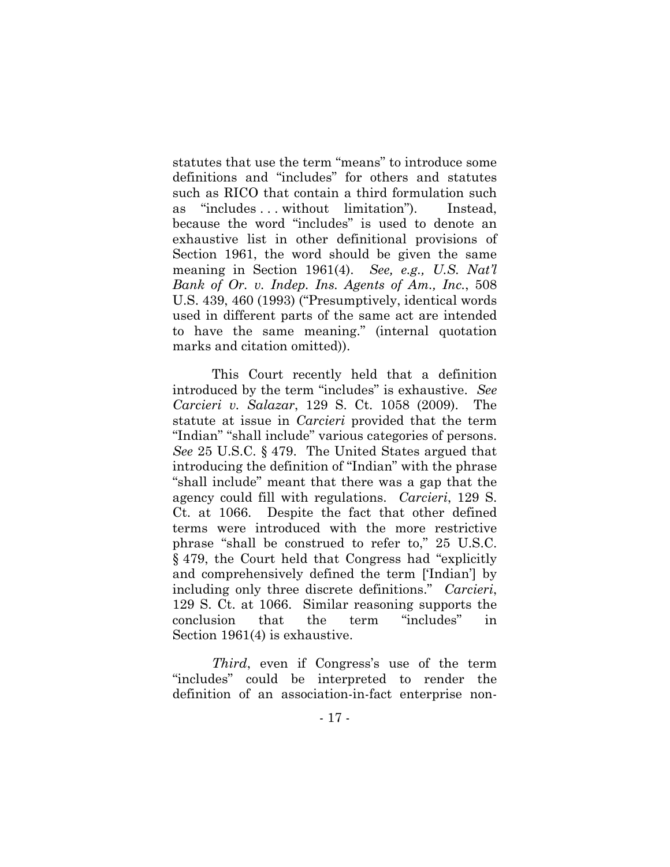statutes that use the term "means" to introduce some definitions and "includes" for others and statutes such as RICO that contain a third formulation such as "includes . . . without limitation"). Instead, because the word "includes" is used to denote an exhaustive list in other definitional provisions of Section 1961, the word should be given the same meaning in Section 1961(4). *See, e.g., U.S. Nat'l Bank of Or. v. Indep. Ins. Agents of Am., Inc.*, 508 U.S. 439, 460 (1993) ("Presumptively, identical words used in different parts of the same act are intended to have the same meaning." (internal quotation marks and citation omitted)).

This Court recently held that a definition introduced by the term "includes" is exhaustive. *See Carcieri v. Salazar*, 129 S. Ct. 1058 (2009). The statute at issue in *Carcieri* provided that the term "Indian" "shall include" various categories of persons. *See* 25 U.S.C. § 479. The United States argued that introducing the definition of "Indian" with the phrase "shall include" meant that there was a gap that the agency could fill with regulations. *Carcieri*, 129 S. Ct. at 1066. Despite the fact that other defined terms were introduced with the more restrictive phrase "shall be construed to refer to," 25 U.S.C. § 479, the Court held that Congress had "explicitly and comprehensively defined the term ['Indian'] by including only three discrete definitions." *Carcieri*, 129 S. Ct. at 1066. Similar reasoning supports the conclusion that the term "includes" in Section 1961(4) is exhaustive.

*Third*, even if Congress's use of the term "includes" could be interpreted to render the definition of an association-in-fact enterprise non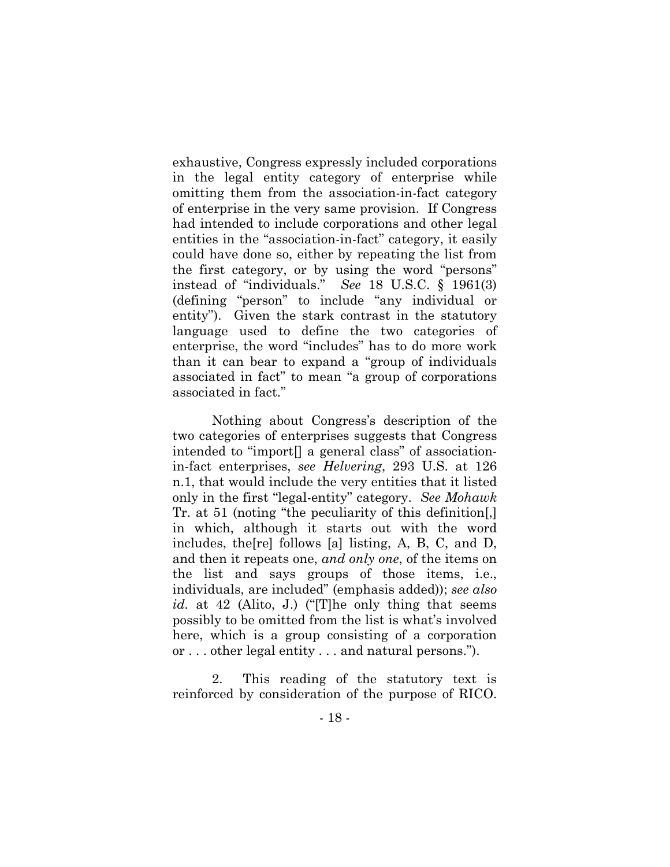exhaustive, Congress expressly included corporations in the legal entity category of enterprise while omitting them from the association-in-fact category of enterprise in the very same provision. If Congress had intended to include corporations and other legal entities in the "association-in-fact" category, it easily could have done so, either by repeating the list from the first category, or by using the word "persons" instead of "individuals." *See* 18 U.S.C. § 1961(3) (defining "person" to include "any individual or entity"). Given the stark contrast in the statutory language used to define the two categories of enterprise, the word "includes" has to do more work than it can bear to expand a "group of individuals associated in fact" to mean "a group of corporations associated in fact."

Nothing about Congress's description of the two categories of enterprises suggests that Congress intended to "import[] a general class" of associationin-fact enterprises, *see Helvering*, 293 U.S. at 126 n.1, that would include the very entities that it listed only in the first "legal-entity" category. *See Mohawk* Tr. at 51 (noting "the peculiarity of this definition[,] in which, although it starts out with the word includes, the[re] follows [a] listing, A, B, C, and D, and then it repeats one, *and only one*, of the items on the list and says groups of those items, i.e., individuals, are included" (emphasis added)); *see also id.* at 42 (Alito, J.) ("[T]he only thing that seems possibly to be omitted from the list is what's involved here, which is a group consisting of a corporation or . . . other legal entity . . . and natural persons.").

2. This reading of the statutory text is reinforced by consideration of the purpose of RICO.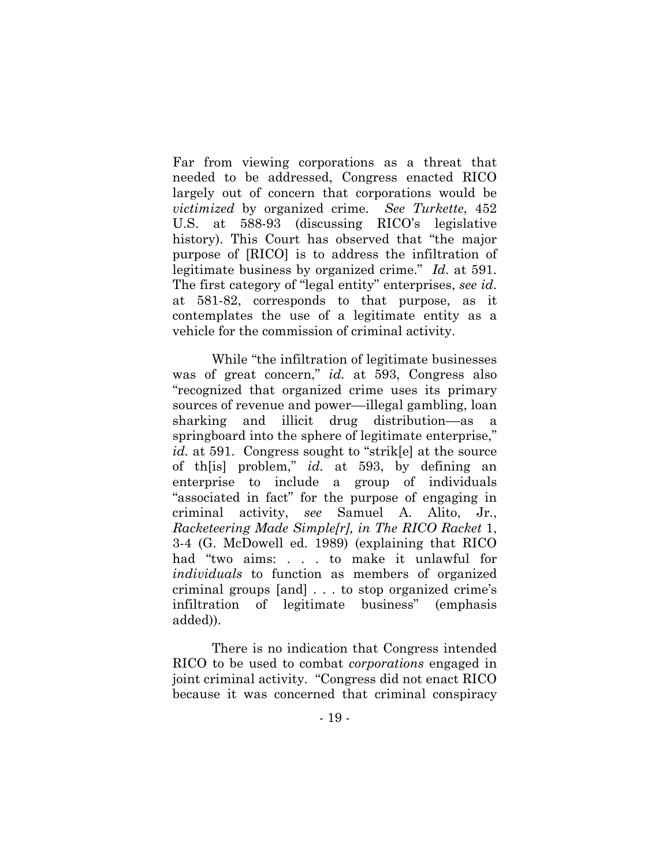Far from viewing corporations as a threat that needed to be addressed, Congress enacted RICO largely out of concern that corporations would be *victimized* by organized crime. *See Turkette*, 452 U.S. at 588-93 (discussing RICO's legislative history). This Court has observed that "the major purpose of [RICO] is to address the infiltration of legitimate business by organized crime." *Id*. at 591. The first category of "legal entity" enterprises, *see id*. at 581-82, corresponds to that purpose, as it contemplates the use of a legitimate entity as a vehicle for the commission of criminal activity.

While "the infiltration of legitimate businesses was of great concern," *id.* at 593, Congress also "recognized that organized crime uses its primary sources of revenue and power—illegal gambling, loan sharking and illicit drug distribution––as a springboard into the sphere of legitimate enterprise," *id.* at 591. Congress sought to "strik[e] at the source of th[is] problem," *id.* at 593, by defining an enterprise to include a group of individuals "associated in fact" for the purpose of engaging in criminal activity, *see* Samuel A. Alito, Jr., *Racketeering Made Simple[r], in The RICO Racket* 1, 3-4 (G. McDowell ed. 1989) (explaining that RICO had "two aims: . . . to make it unlawful for *individuals* to function as members of organized criminal groups [and] . . . to stop organized crime's infiltration of legitimate business" (emphasis added)).

There is no indication that Congress intended RICO to be used to combat *corporations* engaged in joint criminal activity. "Congress did not enact RICO because it was concerned that criminal conspiracy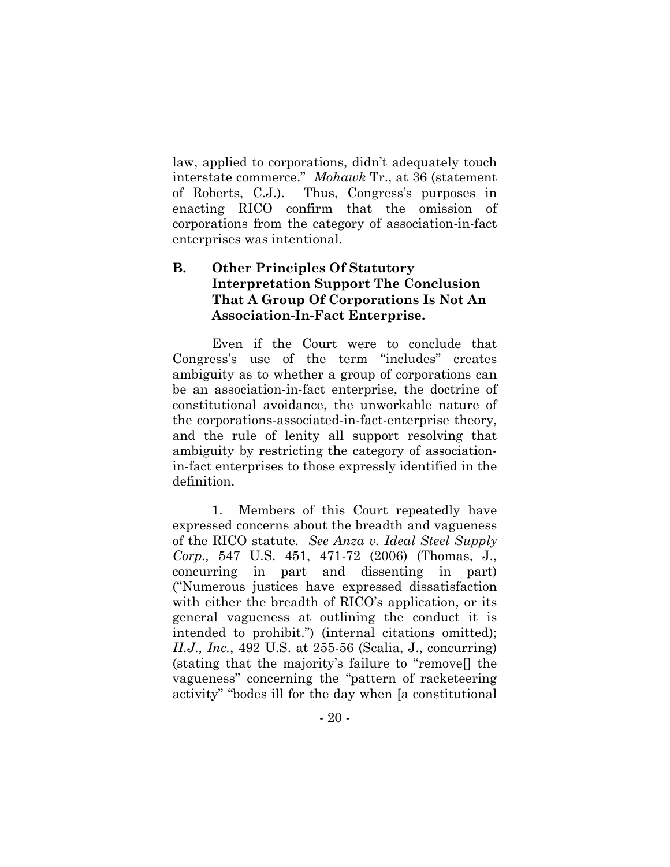law, applied to corporations, didn't adequately touch interstate commerce." *Mohawk* Tr., at 36 (statement of Roberts, C.J.). Thus, Congress's purposes in enacting RICO confirm that the omission of corporations from the category of association-in-fact enterprises was intentional.

# **B. Other Principles Of Statutory Interpretation Support The Conclusion That A Group Of Corporations Is Not An Association-In-Fact Enterprise.**

Even if the Court were to conclude that Congress's use of the term "includes" creates ambiguity as to whether a group of corporations can be an association-in-fact enterprise, the doctrine of constitutional avoidance, the unworkable nature of the corporations-associated-in-fact-enterprise theory, and the rule of lenity all support resolving that ambiguity by restricting the category of associationin-fact enterprises to those expressly identified in the definition.

1. Members of this Court repeatedly have expressed concerns about the breadth and vagueness of the RICO statute. *See Anza v. Ideal Steel Supply Corp.,* 547 U.S. 451, 471-72 (2006) (Thomas, J., concurring in part and dissenting in part) ("Numerous justices have expressed dissatisfaction with either the breadth of RICO's application, or its general vagueness at outlining the conduct it is intended to prohibit.") (internal citations omitted); *H.J., Inc.*, 492 U.S. at 255-56 (Scalia, J., concurring) (stating that the majority's failure to "remove[] the vagueness" concerning the "pattern of racketeering activity" "bodes ill for the day when [a constitutional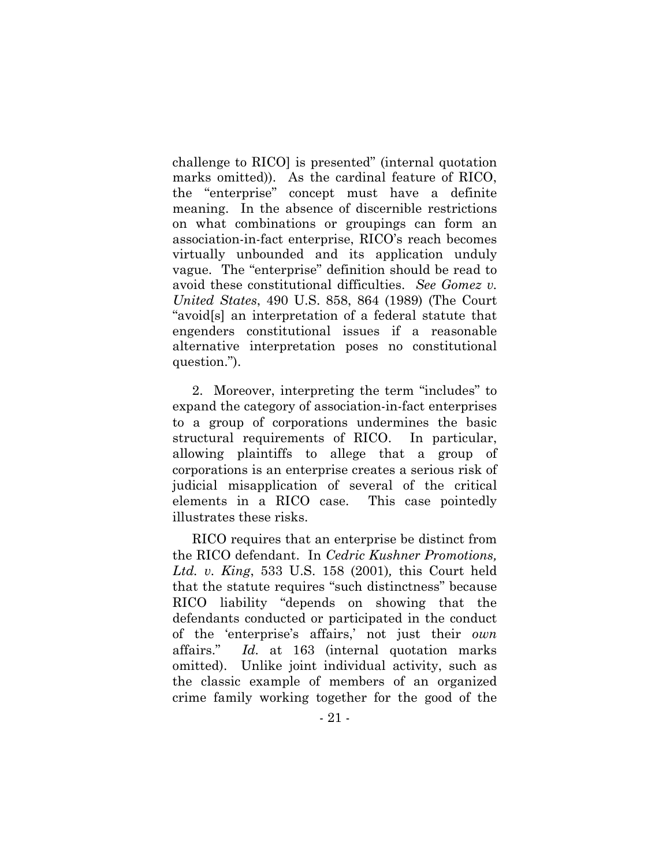challenge to RICO] is presented" (internal quotation marks omitted)). As the cardinal feature of RICO, the "enterprise" concept must have a definite meaning. In the absence of discernible restrictions on what combinations or groupings can form an association-in-fact enterprise, RICO's reach becomes virtually unbounded and its application unduly vague. The "enterprise" definition should be read to avoid these constitutional difficulties. *See Gomez v. United States*, 490 U.S. 858, 864 (1989) (The Court "avoid[s] an interpretation of a federal statute that engenders constitutional issues if a reasonable alternative interpretation poses no constitutional question.").

2. Moreover, interpreting the term "includes" to expand the category of association-in-fact enterprises to a group of corporations undermines the basic structural requirements of RICO. In particular, allowing plaintiffs to allege that a group of corporations is an enterprise creates a serious risk of judicial misapplication of several of the critical elements in a RICO case. This case pointedly illustrates these risks.

RICO requires that an enterprise be distinct from the RICO defendant. In *Cedric Kushner Promotions, Ltd. v. King*, 533 U.S. 158 (2001)*,* this Court held that the statute requires "such distinctness" because RICO liability "depends on showing that the defendants conducted or participated in the conduct of the 'enterprise's affairs,' not just their *own* affairs." *Id.* at 163 (internal quotation marks omitted). Unlike joint individual activity, such as the classic example of members of an organized crime family working together for the good of the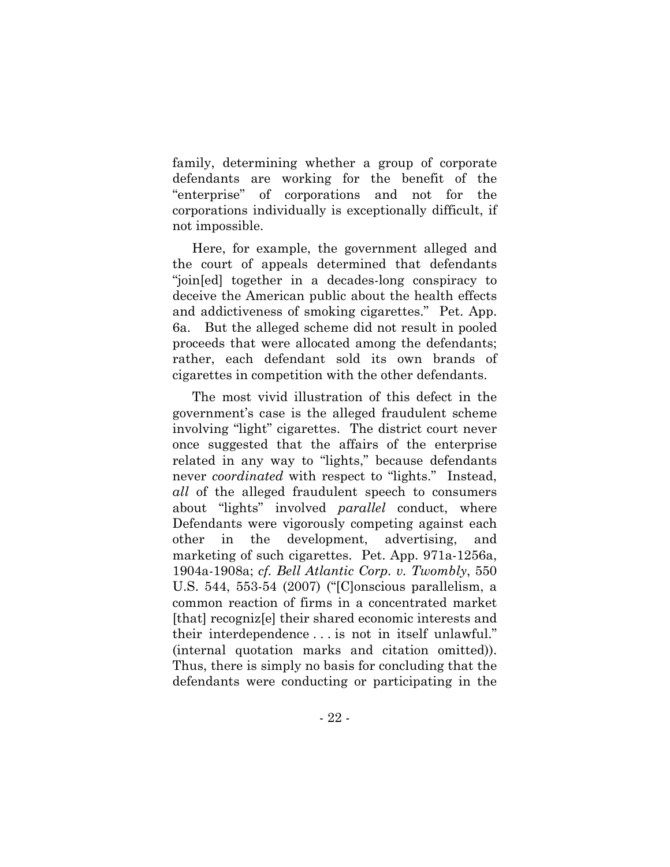family, determining whether a group of corporate defendants are working for the benefit of the "enterprise" of corporations and not for the corporations individually is exceptionally difficult, if not impossible.

Here, for example, the government alleged and the court of appeals determined that defendants "join[ed] together in a decades-long conspiracy to deceive the American public about the health effects and addictiveness of smoking cigarettes." Pet. App. 6a. But the alleged scheme did not result in pooled proceeds that were allocated among the defendants; rather, each defendant sold its own brands of cigarettes in competition with the other defendants.

The most vivid illustration of this defect in the government's case is the alleged fraudulent scheme involving "light" cigarettes. The district court never once suggested that the affairs of the enterprise related in any way to "lights," because defendants never *coordinated* with respect to "lights." Instead, *all* of the alleged fraudulent speech to consumers about "lights" involved *parallel* conduct, where Defendants were vigorously competing against each other in the development, advertising, and marketing of such cigarettes. Pet. App. 971a-1256a, 1904a-1908a; *cf. Bell Atlantic Corp. v. Twombly*, 550 U.S. 544, 553-54 (2007) ("[C]onscious parallelism, a common reaction of firms in a concentrated market [that] recogniz[e] their shared economic interests and their interdependence . . . is not in itself unlawful." (internal quotation marks and citation omitted)). Thus, there is simply no basis for concluding that the defendants were conducting or participating in the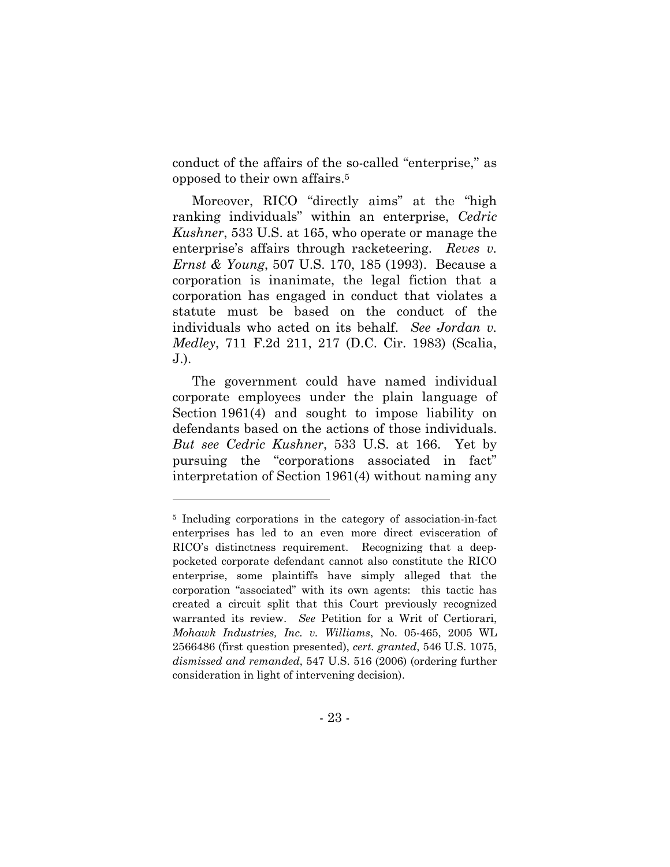conduct of the affairs of the so-called "enterprise," as opposed to their own affairs.5

Moreover, RICO "directly aims" at the "high ranking individuals" within an enterprise, *Cedric Kushner*, 533 U.S. at 165, who operate or manage the enterprise's affairs through racketeering. *Reves v. Ernst & Young*, 507 U.S. 170, 185 (1993). Because a corporation is inanimate, the legal fiction that a corporation has engaged in conduct that violates a statute must be based on the conduct of the individuals who acted on its behalf. *See Jordan v. Medley*, 711 F.2d 211, 217 (D.C. Cir. 1983) (Scalia, J.).

The government could have named individual corporate employees under the plain language of Section 1961(4) and sought to impose liability on defendants based on the actions of those individuals. *But see Cedric Kushner*, 533 U.S. at 166. Yet by pursuing the "corporations associated in fact" interpretation of Section 1961(4) without naming any

<sup>5</sup> Including corporations in the category of association-in-fact enterprises has led to an even more direct evisceration of RICO's distinctness requirement. Recognizing that a deeppocketed corporate defendant cannot also constitute the RICO enterprise, some plaintiffs have simply alleged that the corporation "associated" with its own agents: this tactic has created a circuit split that this Court previously recognized warranted its review. *See* Petition for a Writ of Certiorari, *Mohawk Industries, Inc. v. Williams*, No. 05-465, 2005 WL 2566486 (first question presented), *cert. granted*, 546 U.S. 1075, *dismissed and remanded*, 547 U.S. 516 (2006) (ordering further consideration in light of intervening decision).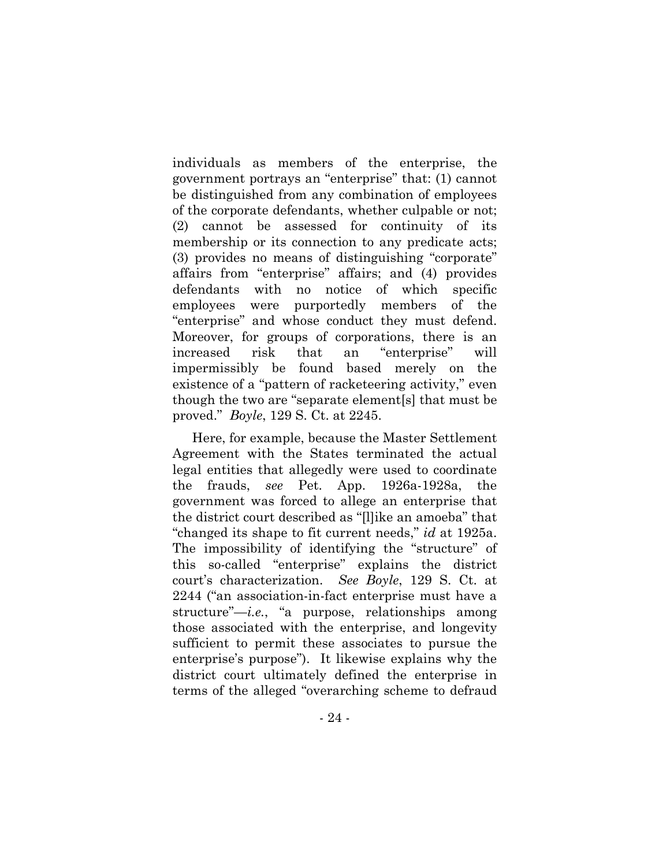individuals as members of the enterprise, the government portrays an "enterprise" that: (1) cannot be distinguished from any combination of employees of the corporate defendants, whether culpable or not; (2) cannot be assessed for continuity of its membership or its connection to any predicate acts; (3) provides no means of distinguishing "corporate" affairs from "enterprise" affairs; and (4) provides defendants with no notice of which specific employees were purportedly members of the "enterprise" and whose conduct they must defend. Moreover, for groups of corporations, there is an increased risk that an "enterprise" will impermissibly be found based merely on the existence of a "pattern of racketeering activity," even though the two are "separate element[s] that must be proved." *Boyle*, 129 S. Ct. at 2245.

Here, for example, because the Master Settlement Agreement with the States terminated the actual legal entities that allegedly were used to coordinate the frauds, *see* Pet. App. 1926a-1928a, the government was forced to allege an enterprise that the district court described as "[l]ike an amoeba" that "changed its shape to fit current needs," *id* at 1925a. The impossibility of identifying the "structure" of this so-called "enterprise" explains the district court's characterization. *See Boyle*, 129 S. Ct. at 2244 ("an association-in-fact enterprise must have a structure"—*i.e.*, "a purpose, relationships among those associated with the enterprise, and longevity sufficient to permit these associates to pursue the enterprise's purpose"). It likewise explains why the district court ultimately defined the enterprise in terms of the alleged "overarching scheme to defraud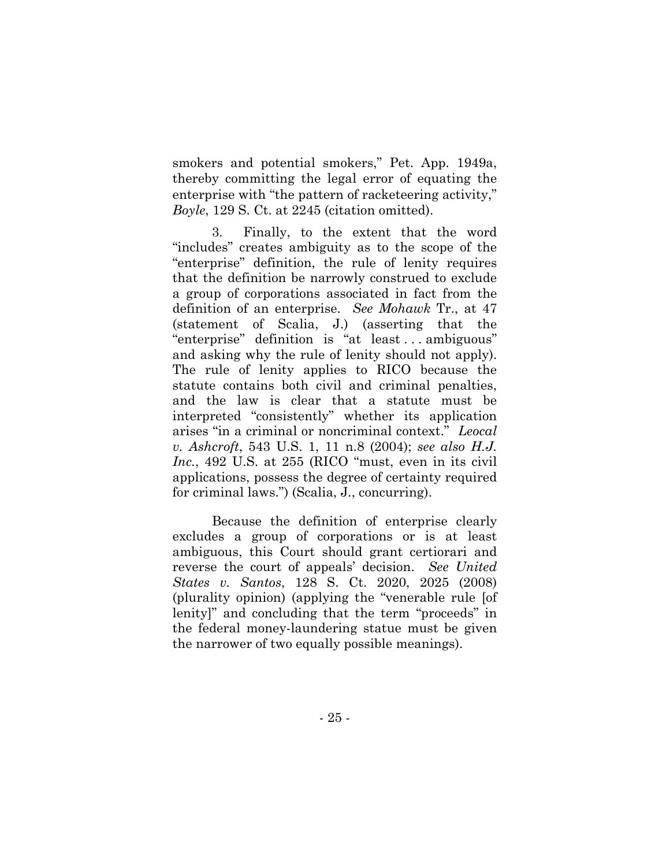smokers and potential smokers," Pet. App. 1949a, thereby committing the legal error of equating the enterprise with "the pattern of racketeering activity," *Boyle*, 129 S. Ct. at 2245 (citation omitted).

3. Finally, to the extent that the word "includes" creates ambiguity as to the scope of the "enterprise" definition, the rule of lenity requires that the definition be narrowly construed to exclude a group of corporations associated in fact from the definition of an enterprise. *See Mohawk* Tr., at 47 (statement of Scalia, J.) (asserting that the "enterprise" definition is "at least . . . ambiguous" and asking why the rule of lenity should not apply). The rule of lenity applies to RICO because the statute contains both civil and criminal penalties, and the law is clear that a statute must be interpreted "consistently" whether its application arises "in a criminal or noncriminal context." *Leocal v. Ashcroft*, 543 U.S. 1, 11 n.8 (2004); *see also H.J. Inc.*, 492 U.S. at 255 (RICO "must, even in its civil applications, possess the degree of certainty required for criminal laws.") (Scalia, J., concurring).

Because the definition of enterprise clearly excludes a group of corporations or is at least ambiguous, this Court should grant certiorari and reverse the court of appeals' decision. *See United States v. Santos*, 128 S. Ct. 2020, 2025 (2008) (plurality opinion) (applying the "venerable rule [of lenity]" and concluding that the term "proceeds" in the federal money-laundering statue must be given the narrower of two equally possible meanings).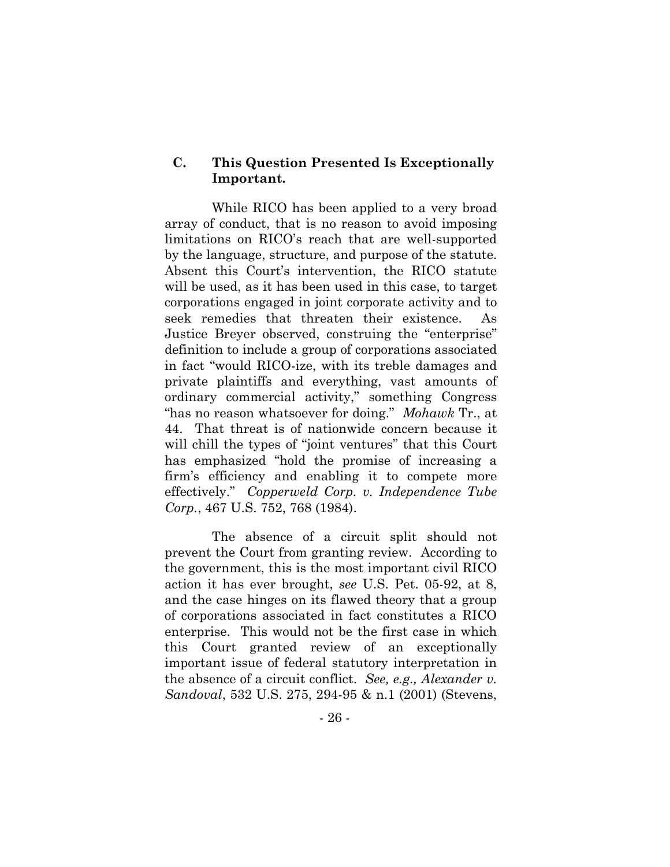#### **C. This Question Presented Is Exceptionally Important.**

While RICO has been applied to a very broad array of conduct, that is no reason to avoid imposing limitations on RICO's reach that are well-supported by the language, structure, and purpose of the statute. Absent this Court's intervention, the RICO statute will be used, as it has been used in this case, to target corporations engaged in joint corporate activity and to seek remedies that threaten their existence. As Justice Breyer observed, construing the "enterprise" definition to include a group of corporations associated in fact "would RICO-ize, with its treble damages and private plaintiffs and everything, vast amounts of ordinary commercial activity," something Congress "has no reason whatsoever for doing." *Mohawk* Tr., at 44. That threat is of nationwide concern because it will chill the types of "joint ventures" that this Court has emphasized "hold the promise of increasing a firm's efficiency and enabling it to compete more effectively." *Copperweld Corp. v. Independence Tube Corp.*, 467 U.S. 752, 768 (1984).

The absence of a circuit split should not prevent the Court from granting review. According to the government, this is the most important civil RICO action it has ever brought, *see* U.S. Pet. 05-92, at 8, and the case hinges on its flawed theory that a group of corporations associated in fact constitutes a RICO enterprise. This would not be the first case in which this Court granted review of an exceptionally important issue of federal statutory interpretation in the absence of a circuit conflict. *See, e.g., Alexander v. Sandoval*, 532 U.S. 275, 294-95 & n.1 (2001) (Stevens,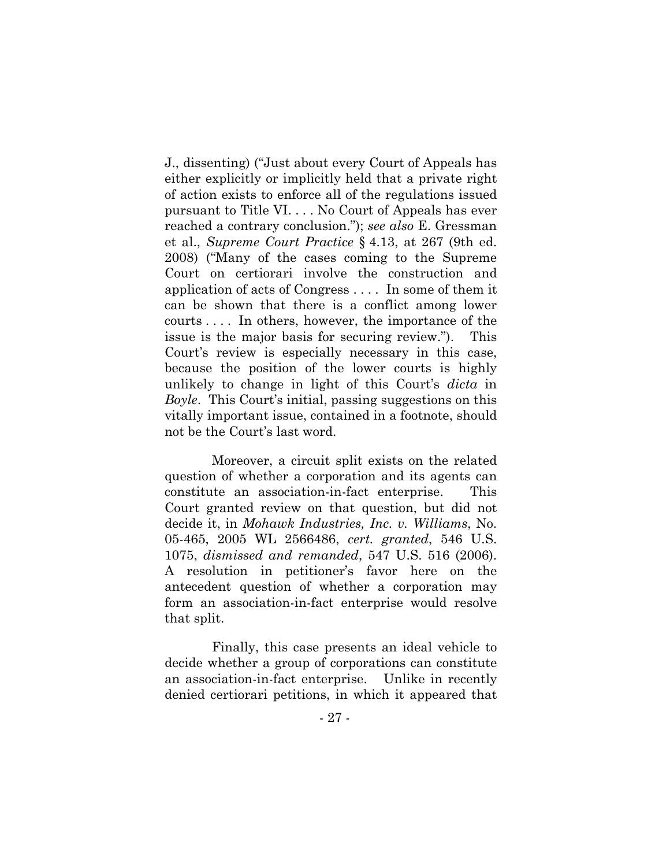J., dissenting) ("Just about every Court of Appeals has either explicitly or implicitly held that a private right of action exists to enforce all of the regulations issued pursuant to Title VI. . . . No Court of Appeals has ever reached a contrary conclusion."); *see also* E. Gressman et al., *Supreme Court Practice* § 4.13, at 267 (9th ed. 2008) ("Many of the cases coming to the Supreme Court on certiorari involve the construction and application of acts of Congress . . . . In some of them it can be shown that there is a conflict among lower courts . . . . In others, however, the importance of the issue is the major basis for securing review."). This Court's review is especially necessary in this case, because the position of the lower courts is highly unlikely to change in light of this Court's *dicta* in *Boyle*. This Court's initial, passing suggestions on this vitally important issue, contained in a footnote, should not be the Court's last word.

Moreover, a circuit split exists on the related question of whether a corporation and its agents can constitute an association-in-fact enterprise. This Court granted review on that question, but did not decide it, in *Mohawk Industries, Inc. v. Williams*, No. 05-465, 2005 WL 2566486, *cert. granted*, 546 U.S. 1075, *dismissed and remanded*, 547 U.S. 516 (2006). A resolution in petitioner's favor here on the antecedent question of whether a corporation may form an association-in-fact enterprise would resolve that split.

Finally, this case presents an ideal vehicle to decide whether a group of corporations can constitute an association-in-fact enterprise. Unlike in recently denied certiorari petitions, in which it appeared that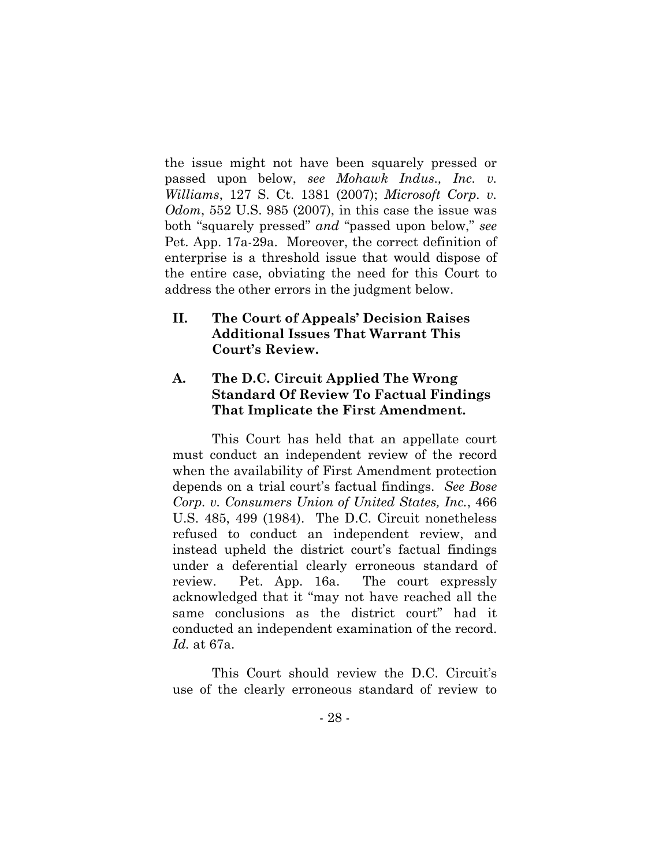the issue might not have been squarely pressed or passed upon below, *see Mohawk Indus., Inc. v. Williams*, 127 S. Ct. 1381 (2007); *Microsoft Corp. v. Odom*, 552 U.S. 985 (2007), in this case the issue was both "squarely pressed" *and* "passed upon below," *see*  Pet. App. 17a-29a. Moreover, the correct definition of enterprise is a threshold issue that would dispose of the entire case, obviating the need for this Court to address the other errors in the judgment below.

### **II. The Court of Appeals' Decision Raises Additional Issues That Warrant This Court's Review.**

### **A. The D.C. Circuit Applied The Wrong Standard Of Review To Factual Findings That Implicate the First Amendment.**

This Court has held that an appellate court must conduct an independent review of the record when the availability of First Amendment protection depends on a trial court's factual findings. *See Bose Corp. v. Consumers Union of United States, Inc.*, 466 U.S. 485, 499 (1984). The D.C. Circuit nonetheless refused to conduct an independent review, and instead upheld the district court's factual findings under a deferential clearly erroneous standard of review. Pet. App. 16a. The court expressly acknowledged that it "may not have reached all the same conclusions as the district court" had it conducted an independent examination of the record. *Id.* at 67a.

This Court should review the D.C. Circuit's use of the clearly erroneous standard of review to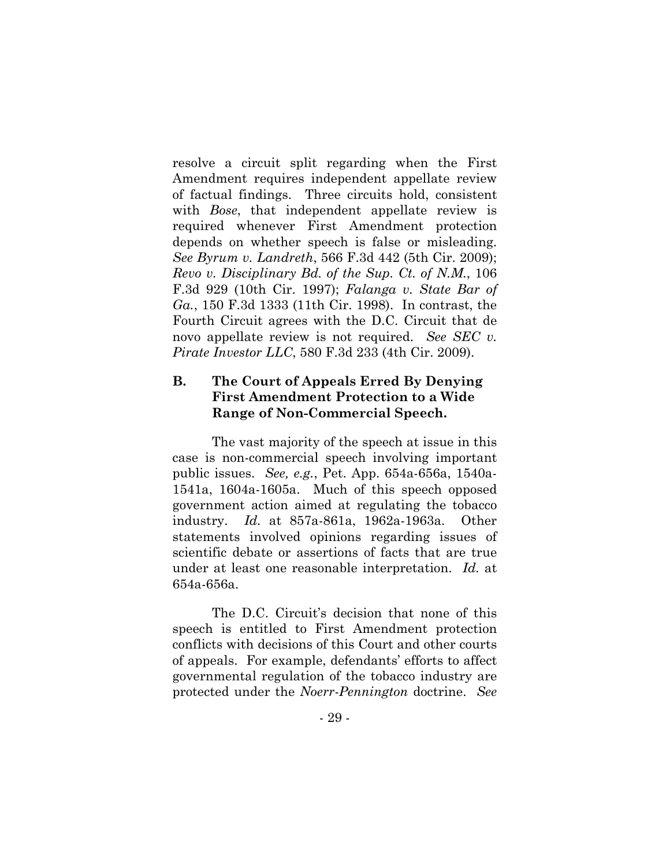resolve a circuit split regarding when the First Amendment requires independent appellate review of factual findings. Three circuits hold, consistent with *Bose*, that independent appellate review is required whenever First Amendment protection depends on whether speech is false or misleading. *See Byrum v. Landreth*, 566 F.3d 442 (5th Cir. 2009); *Revo v. Disciplinary Bd. of the Sup. Ct. of N.M.*, 106 F.3d 929 (10th Cir. 1997); *Falanga v. State Bar of Ga.*, 150 F.3d 1333 (11th Cir. 1998). In contrast, the Fourth Circuit agrees with the D.C. Circuit that de novo appellate review is not required. *See SEC v. Pirate Investor LLC*, 580 F.3d 233 (4th Cir. 2009).

## **B. The Court of Appeals Erred By Denying First Amendment Protection to a Wide Range of Non-Commercial Speech.**

The vast majority of the speech at issue in this case is non-commercial speech involving important public issues. *See, e.g.*, Pet. App. 654a-656a, 1540a-1541a, 1604a-1605a. Much of this speech opposed government action aimed at regulating the tobacco industry. *Id.* at 857a-861a, 1962a-1963a. Other statements involved opinions regarding issues of scientific debate or assertions of facts that are true under at least one reasonable interpretation. *Id.* at 654a-656a.

The D.C. Circuit's decision that none of this speech is entitled to First Amendment protection conflicts with decisions of this Court and other courts of appeals. For example, defendants' efforts to affect governmental regulation of the tobacco industry are protected under the *Noerr-Pennington* doctrine. *See*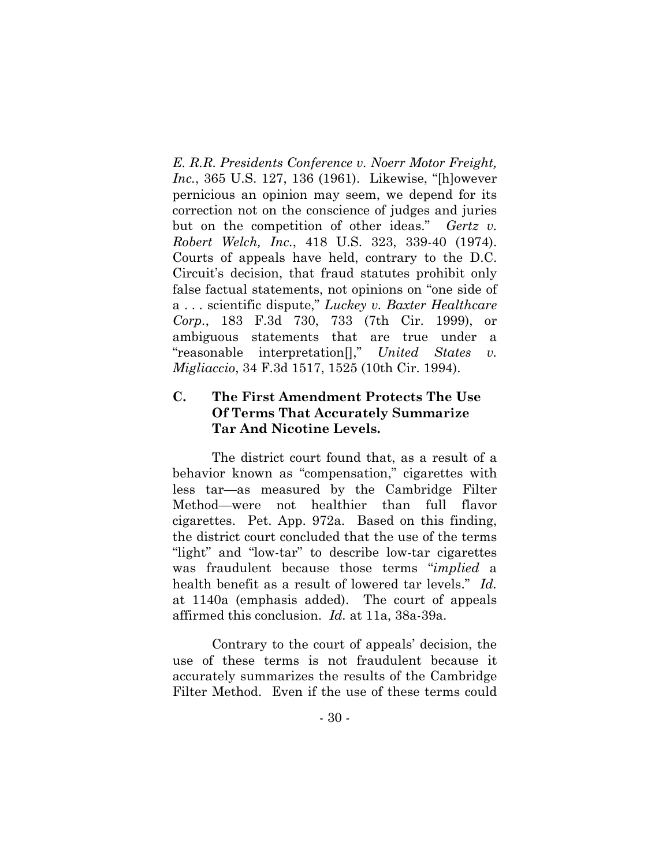*E. R.R. Presidents Conference v. Noerr Motor Freight, Inc.*, 365 U.S. 127, 136 (1961). Likewise, "[h]owever pernicious an opinion may seem, we depend for its correction not on the conscience of judges and juries but on the competition of other ideas." *Gertz v. Robert Welch, Inc.*, 418 U.S. 323, 339-40 (1974). Courts of appeals have held, contrary to the D.C. Circuit's decision, that fraud statutes prohibit only false factual statements, not opinions on "one side of a . . . scientific dispute," *Luckey v. Baxter Healthcare Corp.*, 183 F.3d 730, 733 (7th Cir. 1999), or ambiguous statements that are true under a "reasonable interpretation[]," *United States v. Migliaccio*, 34 F.3d 1517, 1525 (10th Cir. 1994).

### **C. The First Amendment Protects The Use Of Terms That Accurately Summarize Tar And Nicotine Levels.**

The district court found that, as a result of a behavior known as "compensation," cigarettes with less tar—as measured by the Cambridge Filter Method—were not healthier than full flavor cigarettes. Pet. App. 972a. Based on this finding, the district court concluded that the use of the terms "light" and "low-tar" to describe low-tar cigarettes was fraudulent because those terms "*implied* a health benefit as a result of lowered tar levels." *Id.* at 1140a (emphasis added). The court of appeals affirmed this conclusion. *Id.* at 11a, 38a-39a.

Contrary to the court of appeals' decision, the use of these terms is not fraudulent because it accurately summarizes the results of the Cambridge Filter Method. Even if the use of these terms could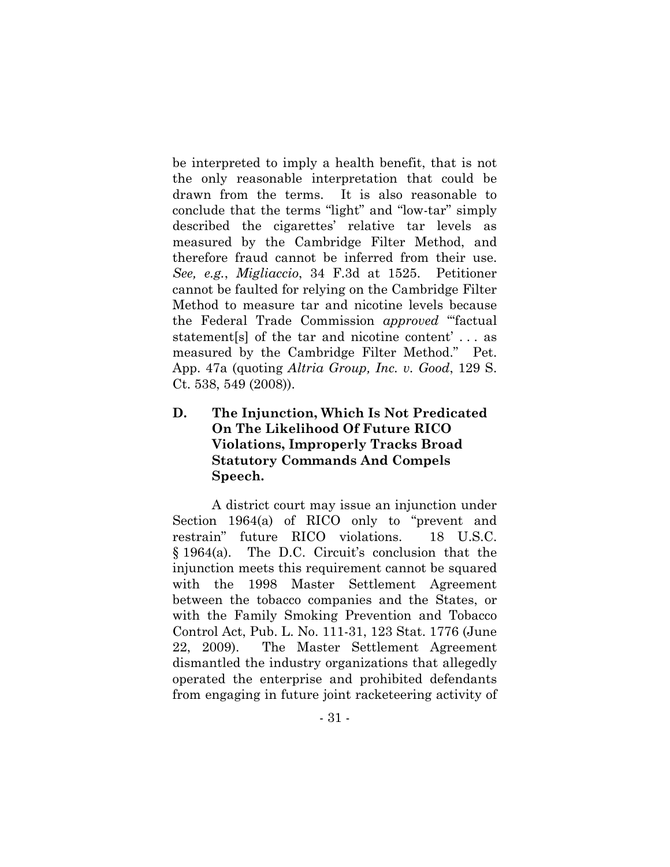be interpreted to imply a health benefit, that is not the only reasonable interpretation that could be drawn from the terms. It is also reasonable to conclude that the terms "light" and "low-tar" simply described the cigarettes' relative tar levels as measured by the Cambridge Filter Method, and therefore fraud cannot be inferred from their use. *See, e.g.*, *Migliaccio*, 34 F.3d at 1525. Petitioner cannot be faulted for relying on the Cambridge Filter Method to measure tar and nicotine levels because the Federal Trade Commission *approved* "'factual statement[s] of the tar and nicotine content' . . . as measured by the Cambridge Filter Method." Pet. App. 47a (quoting *Altria Group, Inc. v. Good*, 129 S. Ct. 538, 549 (2008)).

# **D. The Injunction, Which Is Not Predicated On The Likelihood Of Future RICO Violations, Improperly Tracks Broad Statutory Commands And Compels Speech.**

A district court may issue an injunction under Section 1964(a) of RICO only to "prevent and restrain" future RICO violations. 18 U.S.C. § 1964(a). The D.C. Circuit's conclusion that the injunction meets this requirement cannot be squared with the 1998 Master Settlement Agreement between the tobacco companies and the States, or with the Family Smoking Prevention and Tobacco Control Act, Pub. L. No. 111-31, 123 Stat. 1776 (June 22, 2009). The Master Settlement Agreement dismantled the industry organizations that allegedly operated the enterprise and prohibited defendants from engaging in future joint racketeering activity of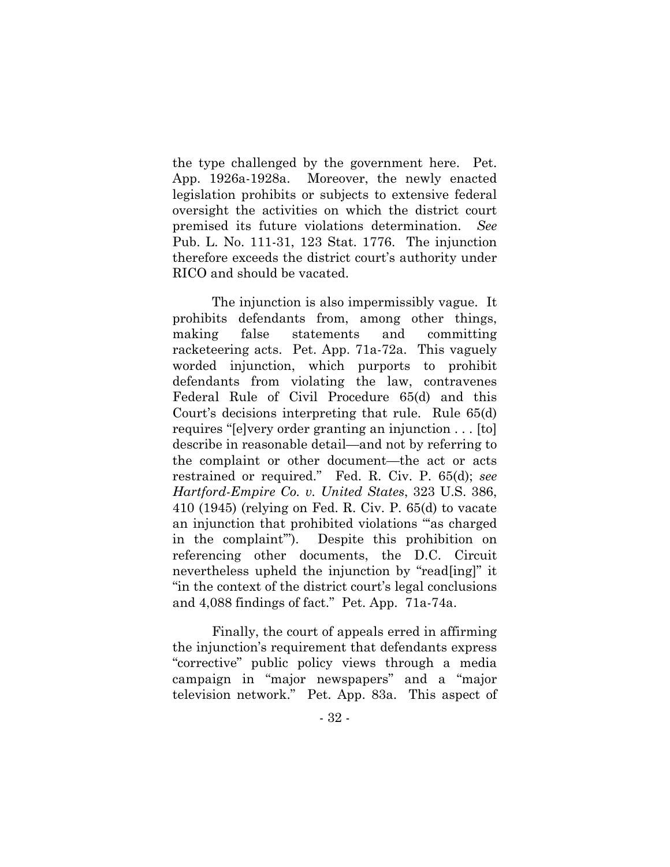the type challenged by the government here. Pet. App. 1926a-1928a. Moreover, the newly enacted legislation prohibits or subjects to extensive federal oversight the activities on which the district court premised its future violations determination. *See* Pub. L. No. 111-31, 123 Stat. 1776. The injunction therefore exceeds the district court's authority under RICO and should be vacated.

The injunction is also impermissibly vague. It prohibits defendants from, among other things, making false statements and committing racketeering acts. Pet. App. 71a-72a. This vaguely worded injunction, which purports to prohibit defendants from violating the law, contravenes Federal Rule of Civil Procedure 65(d) and this Court's decisions interpreting that rule. Rule 65(d) requires "[e]very order granting an injunction . . . [to] describe in reasonable detail—and not by referring to the complaint or other document—the act or acts restrained or required." Fed. R. Civ. P. 65(d); *see Hartford-Empire Co. v. United States*, 323 U.S. 386, 410 (1945) (relying on Fed. R. Civ. P. 65(d) to vacate an injunction that prohibited violations "'as charged in the complaint'"). Despite this prohibition on referencing other documents, the D.C. Circuit nevertheless upheld the injunction by "read[ing]" it "in the context of the district court's legal conclusions and 4,088 findings of fact." Pet. App. 71a-74a.

Finally, the court of appeals erred in affirming the injunction's requirement that defendants express "corrective" public policy views through a media campaign in "major newspapers" and a "major television network." Pet. App. 83a. This aspect of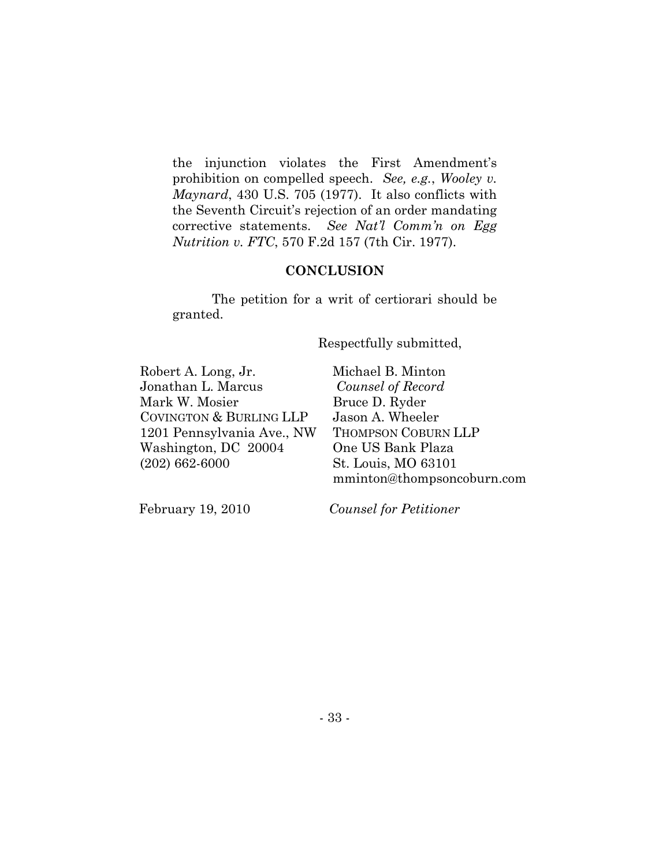the injunction violates the First Amendment's prohibition on compelled speech. *See, e.g.*, *Wooley v. Maynard*, 430 U.S. 705 (1977). It also conflicts with the Seventh Circuit's rejection of an order mandating corrective statements. *See Nat'l Comm'n on Egg Nutrition v. FTC*, 570 F.2d 157 (7th Cir. 1977).

#### **CONCLUSION**

The petition for a writ of certiorari should be granted.

Respectfully submitted,

Robert A. Long, Jr. Jonathan L. Marcus Mark W. Mosier COVINGTON & BURLING LLP 1201 Pennsylvania Ave., NW Washington, DC 20004 (202) 662-6000

Michael B. Minton *Counsel of Record*  Bruce D. Ryder Jason A. Wheeler THOMPSON COBURN LLP One US Bank Plaza St. Louis, MO 63101 mminton@thompsoncoburn.com

February 19, 2010

*Counsel for Petitioner*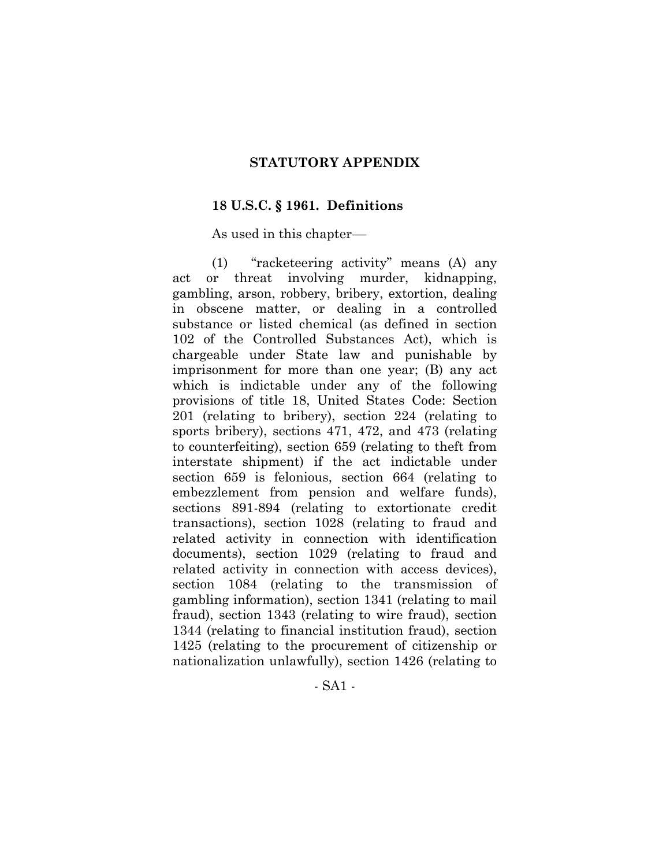#### **STATUTORY APPENDIX**

#### **18 U.S.C. § 1961. Definitions**

As used in this chapter––

 (1) "racketeering activity" means (A) any act or threat involving murder, kidnapping, gambling, arson, robbery, bribery, extortion, dealing in obscene matter, or dealing in a controlled substance or listed chemical (as defined in section 102 of the Controlled Substances Act), which is chargeable under State law and punishable by imprisonment for more than one year; (B) any act which is indictable under any of the following provisions of title 18, United States Code: Section 201 (relating to bribery), section 224 (relating to sports bribery), sections 471, 472, and 473 (relating to counterfeiting), section 659 (relating to theft from interstate shipment) if the act indictable under section 659 is felonious, section 664 (relating to embezzlement from pension and welfare funds), sections 891-894 (relating to extortionate credit transactions), section 1028 (relating to fraud and related activity in connection with identification documents), section 1029 (relating to fraud and related activity in connection with access devices), section 1084 (relating to the transmission of gambling information), section 1341 (relating to mail fraud), section 1343 (relating to wire fraud), section 1344 (relating to financial institution fraud), section 1425 (relating to the procurement of citizenship or nationalization unlawfully), section 1426 (relating to

- SA1 -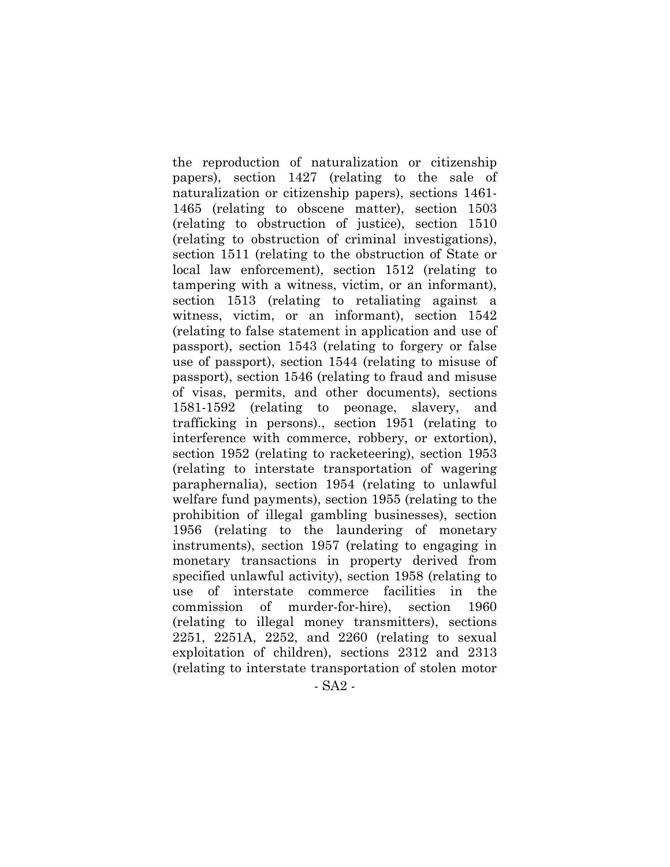the reproduction of naturalization or citizenship papers), section 1427 (relating to the sale of naturalization or citizenship papers), sections 1461- 1465 (relating to obscene matter), section 1503 (relating to obstruction of justice), section 1510 (relating to obstruction of criminal investigations), section 1511 (relating to the obstruction of State or local law enforcement), section 1512 (relating to tampering with a witness, victim, or an informant), section 1513 (relating to retaliating against a witness, victim, or an informant), section 1542 (relating to false statement in application and use of passport), section 1543 (relating to forgery or false use of passport), section 1544 (relating to misuse of passport), section 1546 (relating to fraud and misuse of visas, permits, and other documents), sections 1581-1592 (relating to peonage, slavery, and trafficking in persons)., section 1951 (relating to interference with commerce, robbery, or extortion), section 1952 (relating to racketeering), section 1953 (relating to interstate transportation of wagering paraphernalia), section 1954 (relating to unlawful welfare fund payments), section 1955 (relating to the prohibition of illegal gambling businesses), section 1956 (relating to the laundering of monetary instruments), section 1957 (relating to engaging in monetary transactions in property derived from specified unlawful activity), section 1958 (relating to use of interstate commerce facilities in the commission of murder-for-hire), section 1960 (relating to illegal money transmitters), sections 2251, 2251A, 2252, and 2260 (relating to sexual exploitation of children), sections 2312 and 2313 (relating to interstate transportation of stolen motor

- SA2 -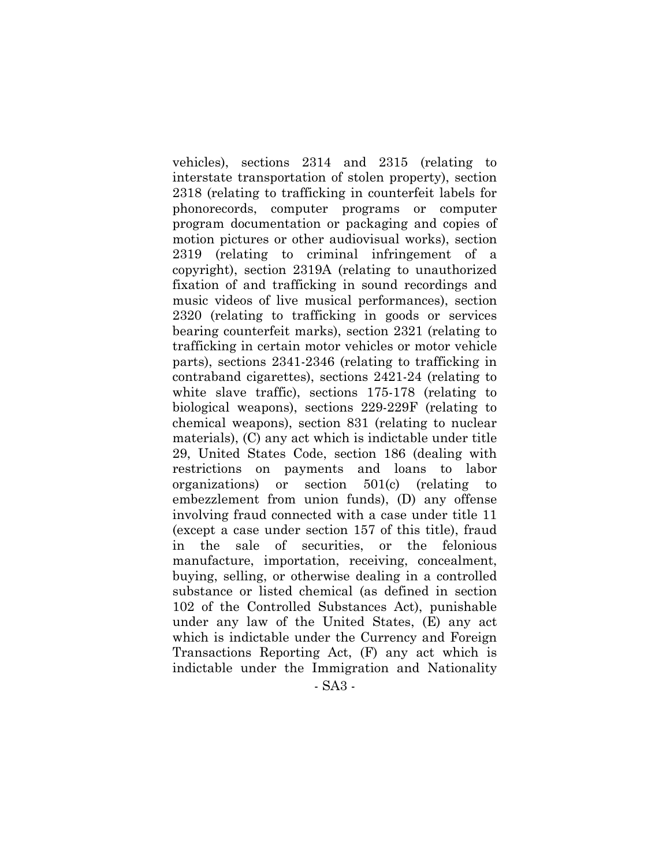- SA3 vehicles), sections 2314 and 2315 (relating to interstate transportation of stolen property), section 2318 (relating to trafficking in counterfeit labels for phonorecords, computer programs or computer program documentation or packaging and copies of motion pictures or other audiovisual works), section 2319 (relating to criminal infringement of a copyright), section 2319A (relating to unauthorized fixation of and trafficking in sound recordings and music videos of live musical performances), section 2320 (relating to trafficking in goods or services bearing counterfeit marks), section 2321 (relating to trafficking in certain motor vehicles or motor vehicle parts), sections 2341-2346 (relating to trafficking in contraband cigarettes), sections 2421-24 (relating to white slave traffic), sections 175-178 (relating to biological weapons), sections 229-229F (relating to chemical weapons), section 831 (relating to nuclear materials), (C) any act which is indictable under title 29, United States Code, section 186 (dealing with restrictions on payments and loans to labor organizations) or section 501(c) (relating to embezzlement from union funds), (D) any offense involving fraud connected with a case under title 11 (except a case under section 157 of this title), fraud in the sale of securities, or the felonious manufacture, importation, receiving, concealment, buying, selling, or otherwise dealing in a controlled substance or listed chemical (as defined in section 102 of the Controlled Substances Act), punishable under any law of the United States, (E) any act which is indictable under the Currency and Foreign Transactions Reporting Act, (F) any act which is indictable under the Immigration and Nationality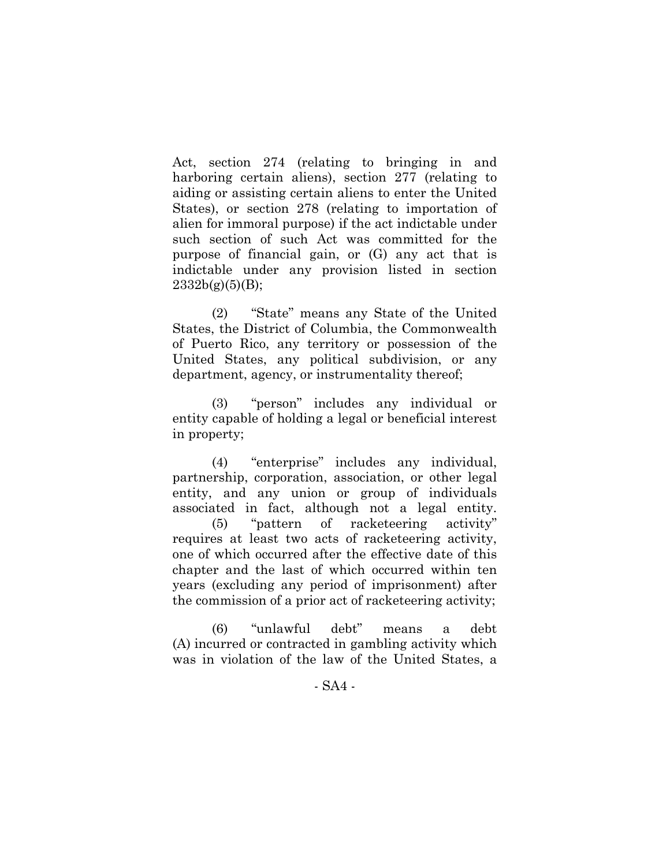Act, section 274 (relating to bringing in and harboring certain aliens), section 277 (relating to aiding or assisting certain aliens to enter the United States), or section 278 (relating to importation of alien for immoral purpose) if the act indictable under such section of such Act was committed for the purpose of financial gain, or (G) any act that is indictable under any provision listed in section  $2332b(g)(5)(B);$ 

 (2) "State" means any State of the United States, the District of Columbia, the Commonwealth of Puerto Rico, any territory or possession of the United States, any political subdivision, or any department, agency, or instrumentality thereof;

 (3) "person" includes any individual or entity capable of holding a legal or beneficial interest in property;

 (4) "enterprise" includes any individual, partnership, corporation, association, or other legal entity, and any union or group of individuals associated in fact, although not a legal entity. (5) "pattern of racketeering activity" requires at least two acts of racketeering activity, one of which occurred after the effective date of this chapter and the last of which occurred within ten years (excluding any period of imprisonment) after the commission of a prior act of racketeering activity;

 (6) "unlawful debt" means a debt (A) incurred or contracted in gambling activity which was in violation of the law of the United States, a

- SA4 -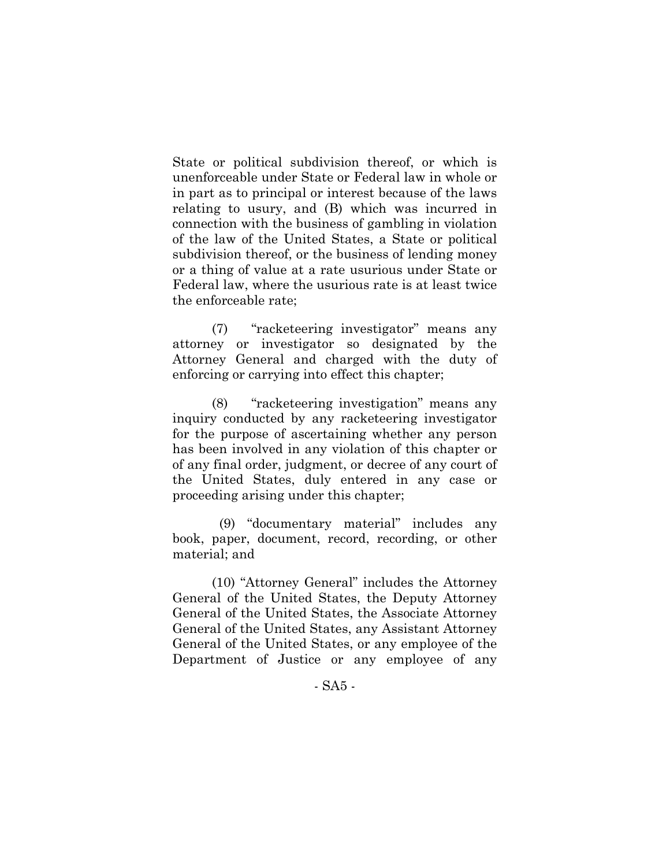State or political subdivision thereof, or which is unenforceable under State or Federal law in whole or in part as to principal or interest because of the laws relating to usury, and (B) which was incurred in connection with the business of gambling in violation of the law of the United States, a State or political subdivision thereof, or the business of lending money or a thing of value at a rate usurious under State or Federal law, where the usurious rate is at least twice the enforceable rate;

 (7) "racketeering investigator" means any attorney or investigator so designated by the Attorney General and charged with the duty of enforcing or carrying into effect this chapter;

 (8) "racketeering investigation" means any inquiry conducted by any racketeering investigator for the purpose of ascertaining whether any person has been involved in any violation of this chapter or of any final order, judgment, or decree of any court of the United States, duly entered in any case or proceeding arising under this chapter;

 (9) "documentary material" includes any book, paper, document, record, recording, or other material; and

 (10) "Attorney General" includes the Attorney General of the United States, the Deputy Attorney General of the United States, the Associate Attorney General of the United States, any Assistant Attorney General of the United States, or any employee of the Department of Justice or any employee of any

- SA5 -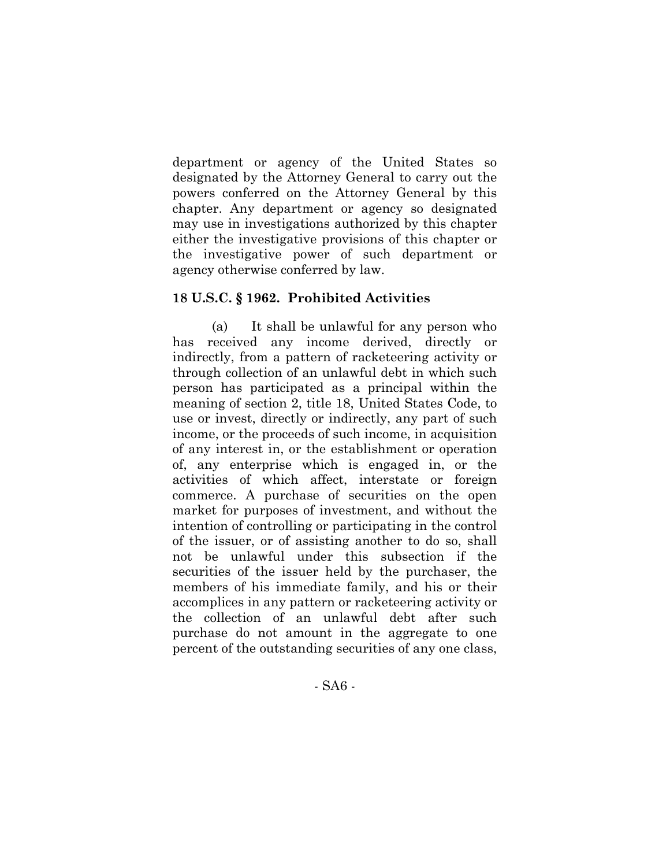department or agency of the United States so designated by the Attorney General to carry out the powers conferred on the Attorney General by this chapter. Any department or agency so designated may use in investigations authorized by this chapter either the investigative provisions of this chapter or the investigative power of such department or agency otherwise conferred by law.

#### **18 U.S.C. § 1962. Prohibited Activities**

 (a) It shall be unlawful for any person who has received any income derived, directly or indirectly, from a pattern of racketeering activity or through collection of an unlawful debt in which such person has participated as a principal within the meaning of section 2, title 18, United States Code, to use or invest, directly or indirectly, any part of such income, or the proceeds of such income, in acquisition of any interest in, or the establishment or operation of, any enterprise which is engaged in, or the activities of which affect, interstate or foreign commerce. A purchase of securities on the open market for purposes of investment, and without the intention of controlling or participating in the control of the issuer, or of assisting another to do so, shall not be unlawful under this subsection if the securities of the issuer held by the purchaser, the members of his immediate family, and his or their accomplices in any pattern or racketeering activity or the collection of an unlawful debt after such purchase do not amount in the aggregate to one percent of the outstanding securities of any one class,

- SA6 -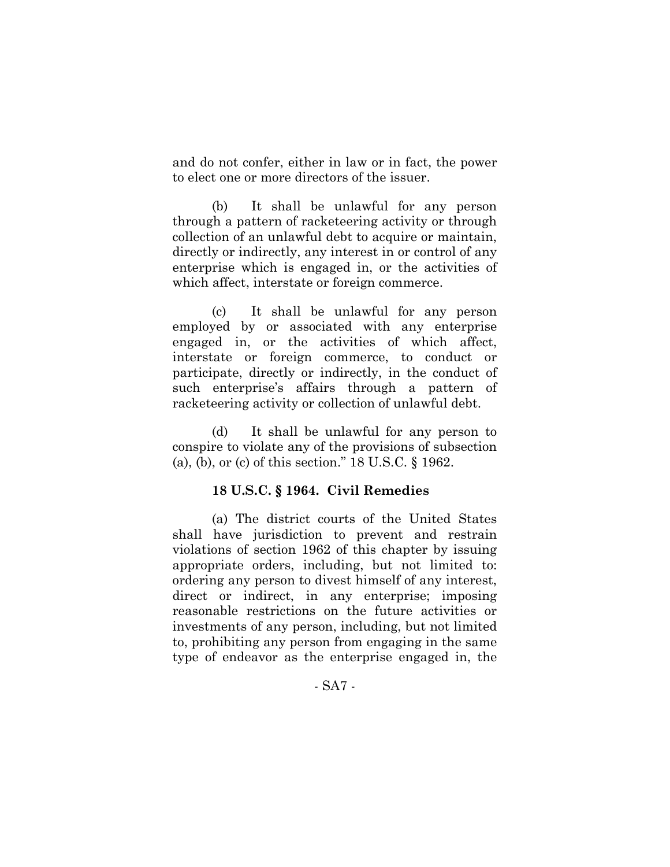and do not confer, either in law or in fact, the power to elect one or more directors of the issuer.

 (b) It shall be unlawful for any person through a pattern of racketeering activity or through collection of an unlawful debt to acquire or maintain, directly or indirectly, any interest in or control of any enterprise which is engaged in, or the activities of which affect, interstate or foreign commerce.

 (c) It shall be unlawful for any person employed by or associated with any enterprise engaged in, or the activities of which affect, interstate or foreign commerce, to conduct or participate, directly or indirectly, in the conduct of such enterprise's affairs through a pattern of racketeering activity or collection of unlawful debt.

 (d) It shall be unlawful for any person to conspire to violate any of the provisions of subsection (a), (b), or (c) of this section." 18 U.S.C. § 1962.

#### **18 U.S.C. § 1964. Civil Remedies**

 (a) The district courts of the United States shall have jurisdiction to prevent and restrain violations of section 1962 of this chapter by issuing appropriate orders, including, but not limited to: ordering any person to divest himself of any interest, direct or indirect, in any enterprise; imposing reasonable restrictions on the future activities or investments of any person, including, but not limited to, prohibiting any person from engaging in the same type of endeavor as the enterprise engaged in, the

- SA7 -